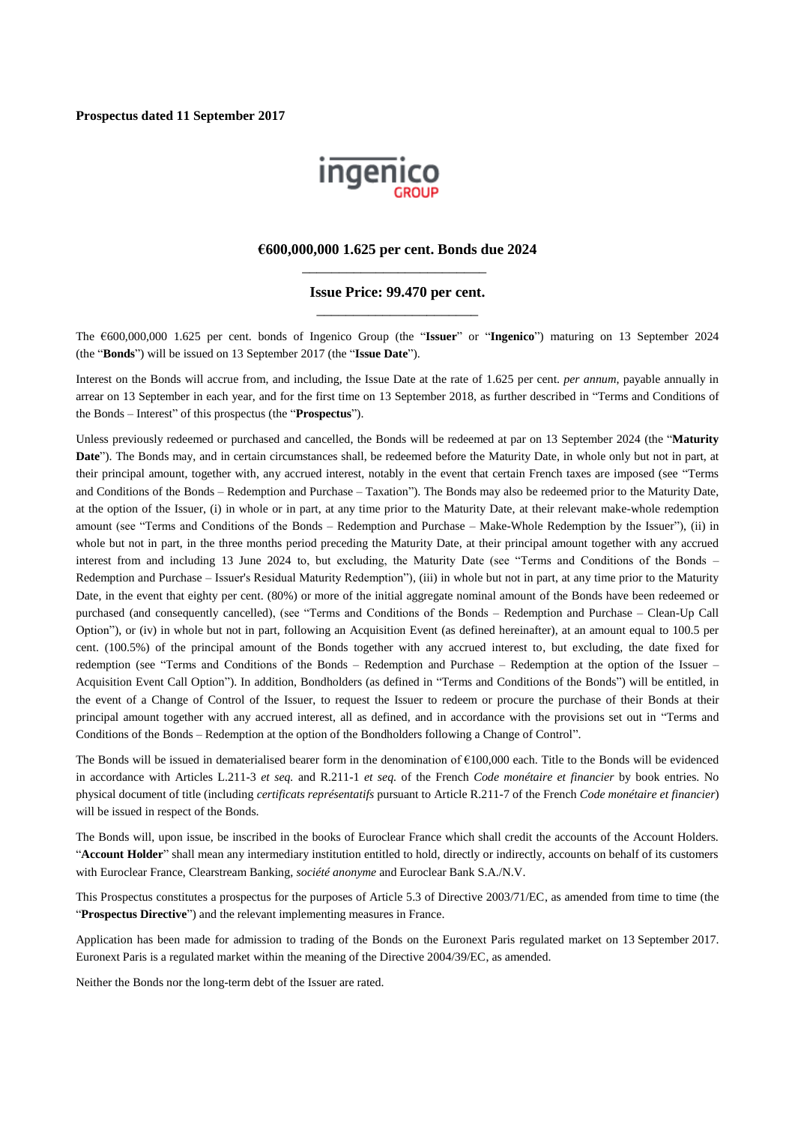

#### **€600,000,000 1.625 per cent. Bonds due 2024** \_\_\_\_\_\_\_\_\_\_\_\_\_\_\_\_\_\_\_\_\_\_\_\_\_

#### **Issue Price: 99.470 per cent.** \_\_\_\_\_\_\_\_\_\_\_\_\_\_\_\_\_\_\_\_\_\_

The €600,000,000 1.625 per cent. bonds of Ingenico Group (the "**Issuer**" or "**Ingenico**") maturing on 13 September 2024 (the "**Bonds**") will be issued on 13 September 2017 (the "**Issue Date**").

Interest on the Bonds will accrue from, and including, the Issue Date at the rate of 1.625 per cent. *per annum*, payable annually in arrear on 13 September in each year, and for the first time on 13 September 2018, as further described in "Terms and Conditions of the Bonds – Interest" of this prospectus (the "**Prospectus**").

Unless previously redeemed or purchased and cancelled, the Bonds will be redeemed at par on 13 September 2024 (the "**Maturity Date**"). The Bonds may, and in certain circumstances shall, be redeemed before the Maturity Date, in whole only but not in part, at their principal amount, together with, any accrued interest, notably in the event that certain French taxes are imposed (see "Terms and Conditions of the Bonds – Redemption and Purchase – Taxation"). The Bonds may also be redeemed prior to the Maturity Date, at the option of the Issuer, (i) in whole or in part, at any time prior to the Maturity Date, at their relevant make-whole redemption amount (see "Terms and Conditions of the Bonds – Redemption and Purchase – Make-Whole Redemption by the Issuer"), (ii) in whole but not in part, in the three months period preceding the Maturity Date, at their principal amount together with any accrued interest from and including 13 June 2024 to, but excluding, the Maturity Date (see "Terms and Conditions of the Bonds – Redemption and Purchase – Issuer's Residual Maturity Redemption"), (iii) in whole but not in part, at any time prior to the Maturity Date, in the event that eighty per cent. (80%) or more of the initial aggregate nominal amount of the Bonds have been redeemed or purchased (and consequently cancelled), (see "Terms and Conditions of the Bonds – Redemption and Purchase – Clean-Up Call Option"), or (iv) in whole but not in part, following an Acquisition Event (as defined hereinafter), at an amount equal to 100.5 per cent. (100.5%) of the principal amount of the Bonds together with any accrued interest to, but excluding, the date fixed for redemption (see "Terms and Conditions of the Bonds – Redemption and Purchase – Redemption at the option of the Issuer – Acquisition Event Call Option"). In addition, Bondholders (as defined in "Terms and Conditions of the Bonds") will be entitled, in the event of a Change of Control of the Issuer, to request the Issuer to redeem or procure the purchase of their Bonds at their principal amount together with any accrued interest, all as defined, and in accordance with the provisions set out in "Terms and Conditions of the Bonds – Redemption at the option of the Bondholders following a Change of Control".

The Bonds will be issued in dematerialised bearer form in the denomination of €100,000 each. Title to the Bonds will be evidenced in accordance with Articles L.211-3 *et seq.* and R.211-1 *et seq.* of the French *Code monétaire et financier* by book entries. No physical document of title (including *certificats représentatifs* pursuant to Article R.211-7 of the French *Code monétaire et financier*) will be issued in respect of the Bonds.

The Bonds will, upon issue, be inscribed in the books of Euroclear France which shall credit the accounts of the Account Holders. "**Account Holder**" shall mean any intermediary institution entitled to hold, directly or indirectly, accounts on behalf of its customers with Euroclear France, Clearstream Banking, *société anonyme* and Euroclear Bank S.A./N.V.

This Prospectus constitutes a prospectus for the purposes of Article 5.3 of Directive 2003/71/EC, as amended from time to time (the "**Prospectus Directive**") and the relevant implementing measures in France.

Application has been made for admission to trading of the Bonds on the Euronext Paris regulated market on 13 September 2017. Euronext Paris is a regulated market within the meaning of the Directive 2004/39/EC, as amended.

Neither the Bonds nor the long-term debt of the Issuer are rated.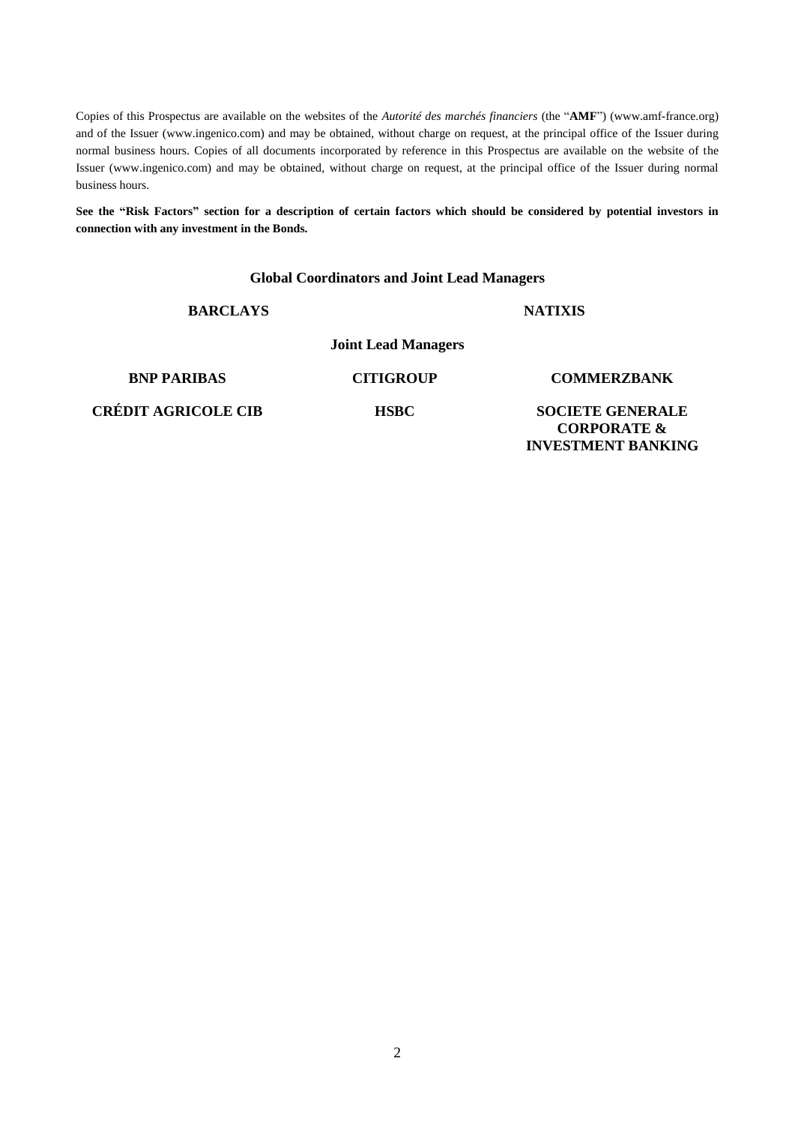Copies of this Prospectus are available on the websites of the *Autorité des marchés financiers* (the "**AMF**") (www.amf-france.org) and of the Issuer (www.ingenico.com) and may be obtained, without charge on request, at the principal office of the Issuer during normal business hours. Copies of all documents incorporated by reference in this Prospectus are available on the website of the Issuer (www.ingenico.com) and may be obtained, without charge on request, at the principal office of the Issuer during normal business hours.

**See the "Risk Factors" section for a description of certain factors which should be considered by potential investors in connection with any investment in the Bonds.**

#### **Global Coordinators and Joint Lead Managers**

#### **BARCLAYS NATIXIS**

**Joint Lead Managers**

**BNP PARIBAS CITIGROUP COMMERZBANK**

**CRÉDIT AGRICOLE CIB HSBC SOCIETE GENERALE** 

**CORPORATE & INVESTMENT BANKING**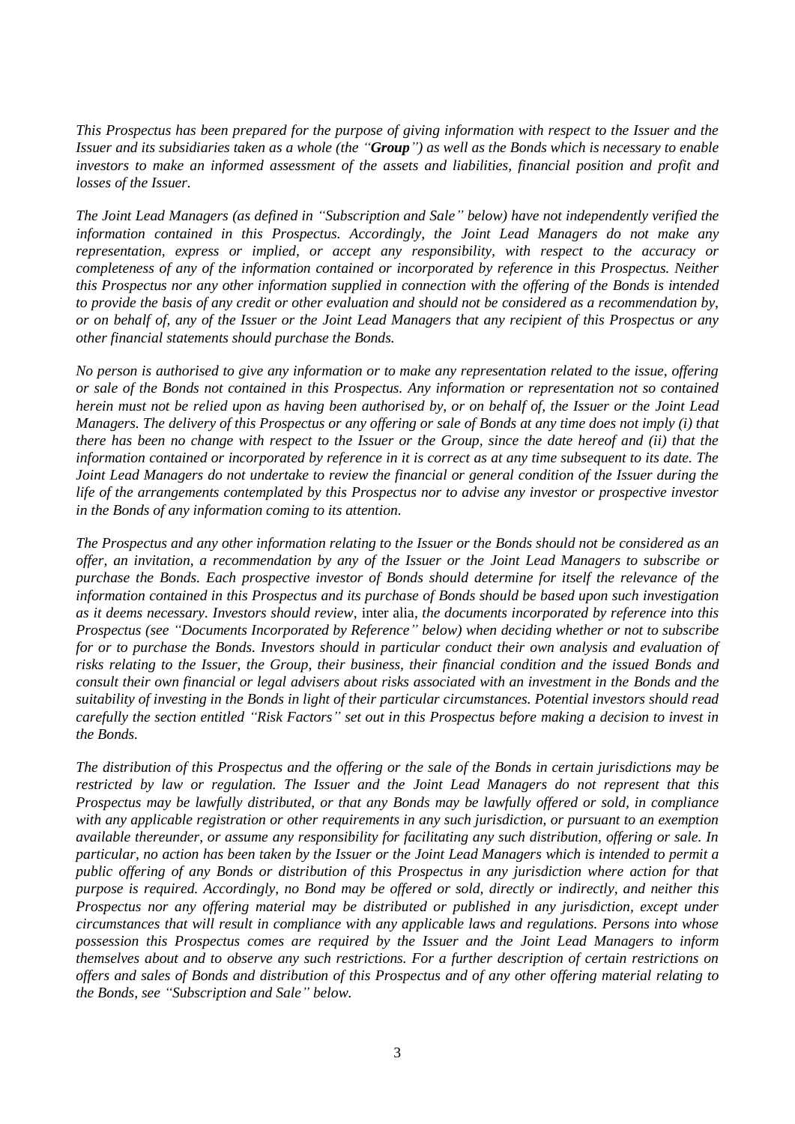*This Prospectus has been prepared for the purpose of giving information with respect to the Issuer and the Issuer and its subsidiaries taken as a whole (the "Group") as well as the Bonds which is necessary to enable investors to make an informed assessment of the assets and liabilities, financial position and profit and losses of the Issuer.*

*The Joint Lead Managers (as defined in "Subscription and Sale" below) have not independently verified the information contained in this Prospectus. Accordingly, the Joint Lead Managers do not make any representation, express or implied, or accept any responsibility, with respect to the accuracy or completeness of any of the information contained or incorporated by reference in this Prospectus. Neither this Prospectus nor any other information supplied in connection with the offering of the Bonds is intended to provide the basis of any credit or other evaluation and should not be considered as a recommendation by, or on behalf of, any of the Issuer or the Joint Lead Managers that any recipient of this Prospectus or any other financial statements should purchase the Bonds.*

*No person is authorised to give any information or to make any representation related to the issue, offering or sale of the Bonds not contained in this Prospectus. Any information or representation not so contained herein must not be relied upon as having been authorised by, or on behalf of, the Issuer or the Joint Lead Managers. The delivery of this Prospectus or any offering or sale of Bonds at any time does not imply (i) that there has been no change with respect to the Issuer or the Group, since the date hereof and (ii) that the information contained or incorporated by reference in it is correct as at any time subsequent to its date. The Joint Lead Managers do not undertake to review the financial or general condition of the Issuer during the life of the arrangements contemplated by this Prospectus nor to advise any investor or prospective investor in the Bonds of any information coming to its attention.*

*The Prospectus and any other information relating to the Issuer or the Bonds should not be considered as an offer, an invitation, a recommendation by any of the Issuer or the Joint Lead Managers to subscribe or purchase the Bonds. Each prospective investor of Bonds should determine for itself the relevance of the information contained in this Prospectus and its purchase of Bonds should be based upon such investigation as it deems necessary. Investors should review,* inter alia*, the documents incorporated by reference into this Prospectus (see "Documents Incorporated by Reference" below) when deciding whether or not to subscribe for or to purchase the Bonds. Investors should in particular conduct their own analysis and evaluation of risks relating to the Issuer, the Group, their business, their financial condition and the issued Bonds and consult their own financial or legal advisers about risks associated with an investment in the Bonds and the suitability of investing in the Bonds in light of their particular circumstances. Potential investors should read carefully the section entitled "Risk Factors" set out in this Prospectus before making a decision to invest in the Bonds.*

*The distribution of this Prospectus and the offering or the sale of the Bonds in certain jurisdictions may be restricted by law or regulation. The Issuer and the Joint Lead Managers do not represent that this Prospectus may be lawfully distributed, or that any Bonds may be lawfully offered or sold, in compliance with any applicable registration or other requirements in any such jurisdiction, or pursuant to an exemption available thereunder, or assume any responsibility for facilitating any such distribution, offering or sale. In particular, no action has been taken by the Issuer or the Joint Lead Managers which is intended to permit a public offering of any Bonds or distribution of this Prospectus in any jurisdiction where action for that purpose is required. Accordingly, no Bond may be offered or sold, directly or indirectly, and neither this Prospectus nor any offering material may be distributed or published in any jurisdiction, except under circumstances that will result in compliance with any applicable laws and regulations. Persons into whose possession this Prospectus comes are required by the Issuer and the Joint Lead Managers to inform themselves about and to observe any such restrictions. For a further description of certain restrictions on offers and sales of Bonds and distribution of this Prospectus and of any other offering material relating to the Bonds, see "Subscription and Sale" below.*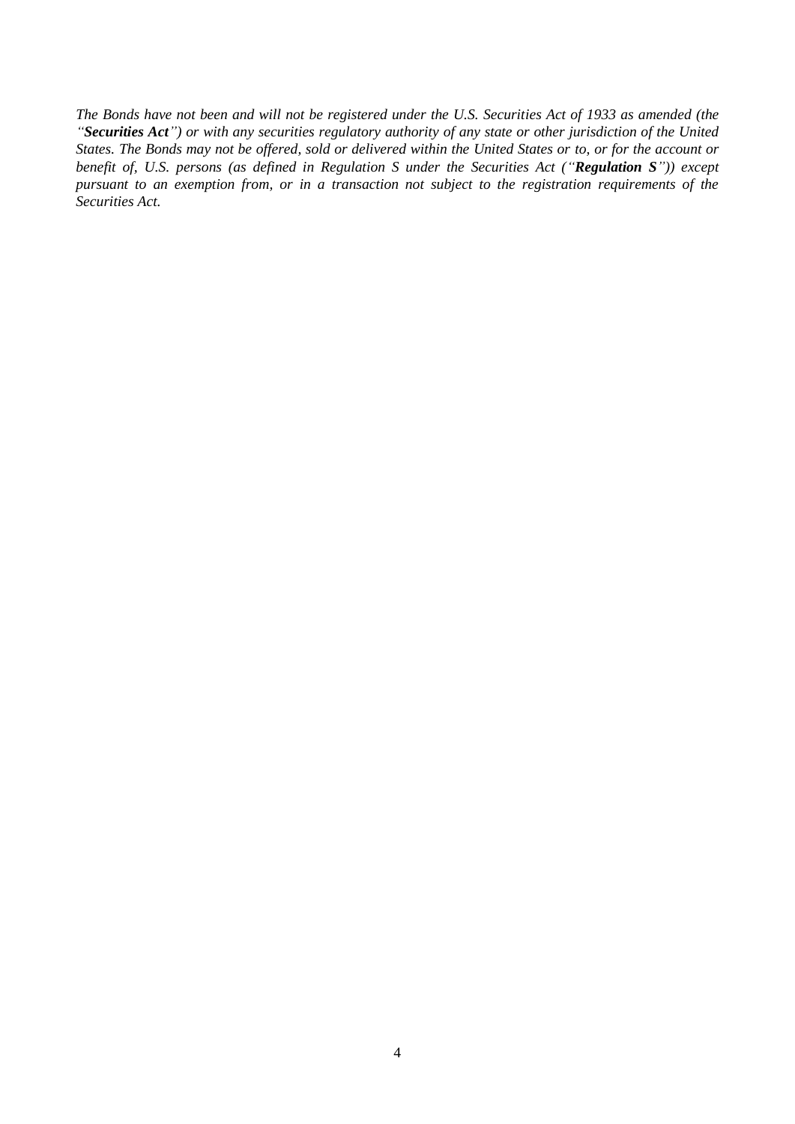*The Bonds have not been and will not be registered under the U.S. Securities Act of 1933 as amended (the "Securities Act") or with any securities regulatory authority of any state or other jurisdiction of the United States. The Bonds may not be offered, sold or delivered within the United States or to, or for the account or benefit of, U.S. persons (as defined in Regulation S under the Securities Act ("Regulation S")) except pursuant to an exemption from, or in a transaction not subject to the registration requirements of the Securities Act.*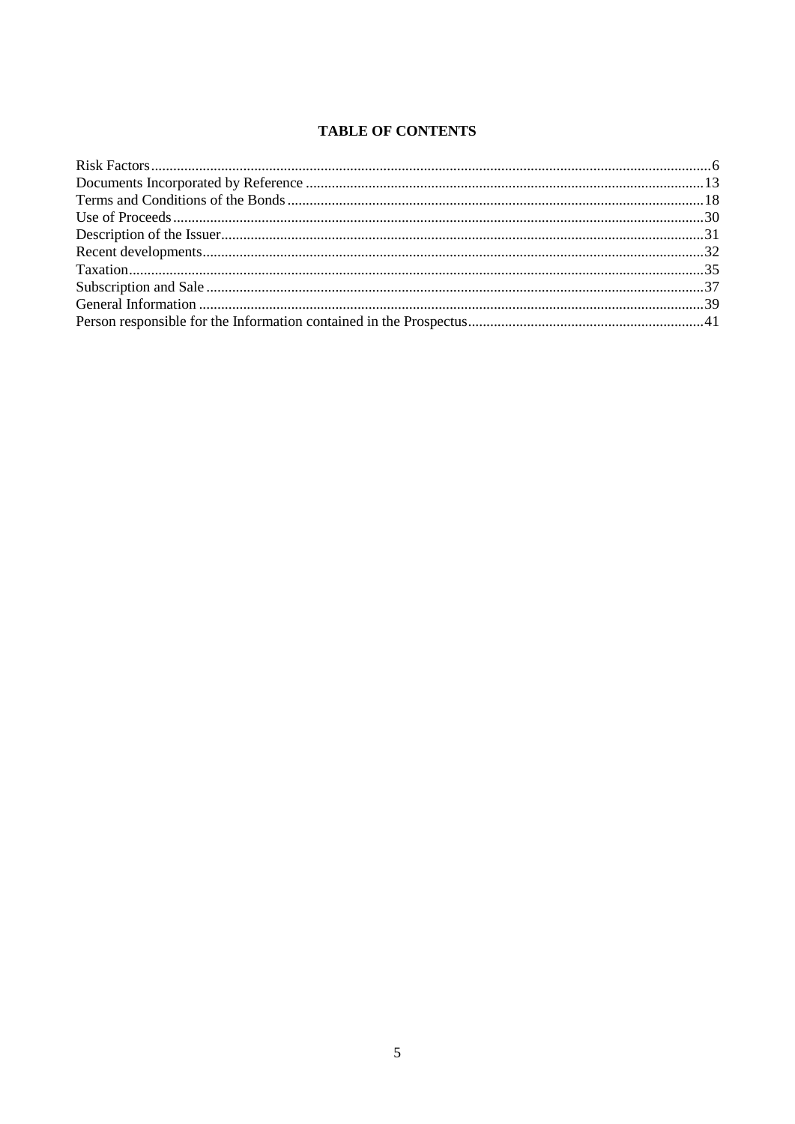# **TABLE OF CONTENTS**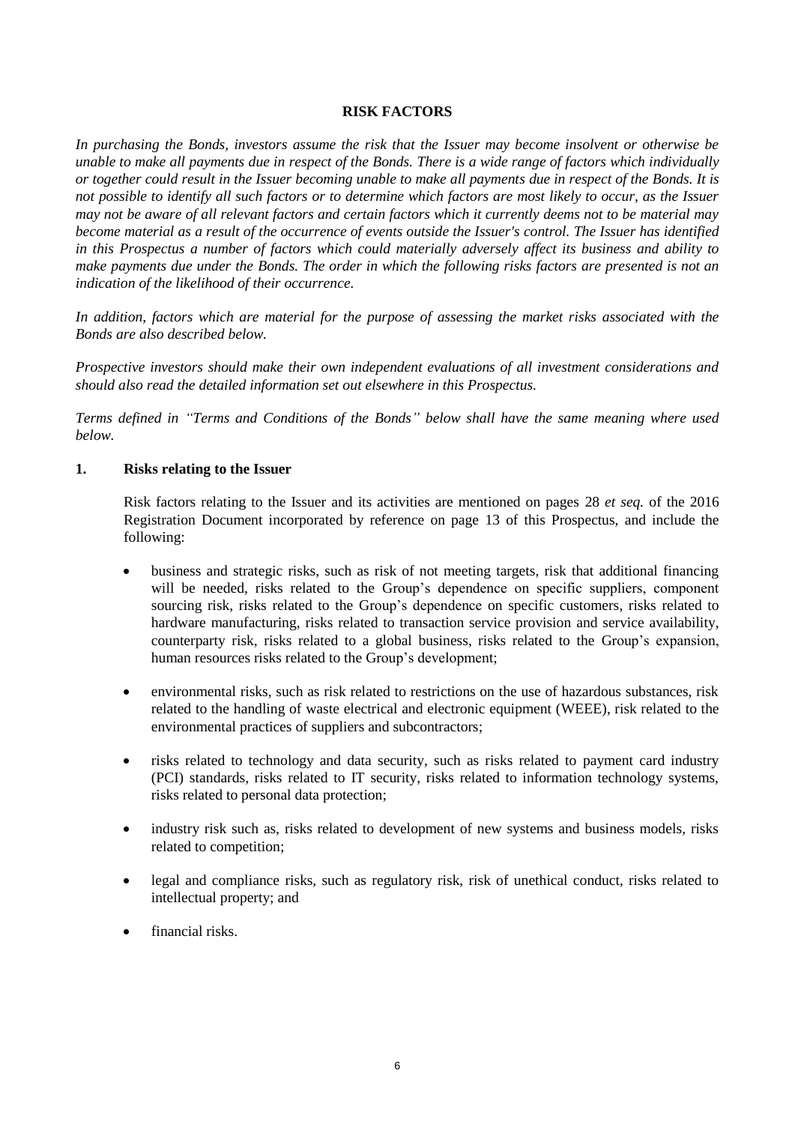#### **RISK FACTORS**

*In purchasing the Bonds, investors assume the risk that the Issuer may become insolvent or otherwise be unable to make all payments due in respect of the Bonds. There is a wide range of factors which individually or together could result in the Issuer becoming unable to make all payments due in respect of the Bonds. It is not possible to identify all such factors or to determine which factors are most likely to occur, as the Issuer may not be aware of all relevant factors and certain factors which it currently deems not to be material may become material as a result of the occurrence of events outside the Issuer's control. The Issuer has identified in this Prospectus a number of factors which could materially adversely affect its business and ability to make payments due under the Bonds. The order in which the following risks factors are presented is not an indication of the likelihood of their occurrence.*

*In addition, factors which are material for the purpose of assessing the market risks associated with the Bonds are also described below.*

*Prospective investors should make their own independent evaluations of all investment considerations and should also read the detailed information set out elsewhere in this Prospectus.* 

*Terms defined in "Terms and Conditions of the Bonds" below shall have the same meaning where used below.*

#### **1. Risks relating to the Issuer**

Risk factors relating to the Issuer and its activities are mentioned on pages 28 *et seq.* of the 2016 Registration Document incorporated by reference on page 13 of this Prospectus, and include the following:

- business and strategic risks, such as risk of not meeting targets, risk that additional financing will be needed, risks related to the Group's dependence on specific suppliers, component sourcing risk, risks related to the Group's dependence on specific customers, risks related to hardware manufacturing, risks related to transaction service provision and service availability, counterparty risk, risks related to a global business, risks related to the Group's expansion, human resources risks related to the Group's development;
- environmental risks, such as risk related to restrictions on the use of hazardous substances, risk related to the handling of waste electrical and electronic equipment (WEEE), risk related to the environmental practices of suppliers and subcontractors;
- risks related to technology and data security, such as risks related to payment card industry (PCI) standards, risks related to IT security, risks related to information technology systems, risks related to personal data protection;
- industry risk such as, risks related to development of new systems and business models, risks related to competition;
- legal and compliance risks, such as regulatory risk, risk of unethical conduct, risks related to intellectual property; and
- financial risks.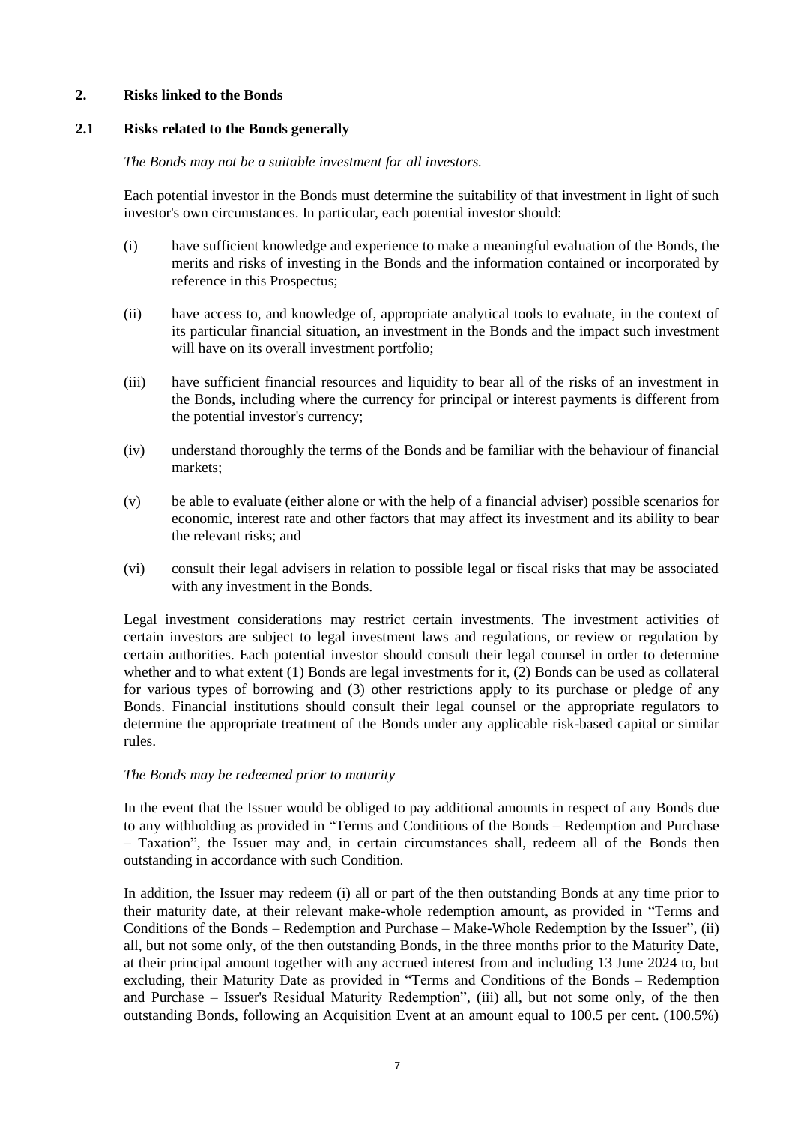# **2. Risks linked to the Bonds**

# **2.1 Risks related to the Bonds generally**

# *The Bonds may not be a suitable investment for all investors.*

Each potential investor in the Bonds must determine the suitability of that investment in light of such investor's own circumstances. In particular, each potential investor should:

- (i) have sufficient knowledge and experience to make a meaningful evaluation of the Bonds, the merits and risks of investing in the Bonds and the information contained or incorporated by reference in this Prospectus;
- (ii) have access to, and knowledge of, appropriate analytical tools to evaluate, in the context of its particular financial situation, an investment in the Bonds and the impact such investment will have on its overall investment portfolio:
- (iii) have sufficient financial resources and liquidity to bear all of the risks of an investment in the Bonds, including where the currency for principal or interest payments is different from the potential investor's currency;
- (iv) understand thoroughly the terms of the Bonds and be familiar with the behaviour of financial markets;
- (v) be able to evaluate (either alone or with the help of a financial adviser) possible scenarios for economic, interest rate and other factors that may affect its investment and its ability to bear the relevant risks; and
- (vi) consult their legal advisers in relation to possible legal or fiscal risks that may be associated with any investment in the Bonds.

Legal investment considerations may restrict certain investments. The investment activities of certain investors are subject to legal investment laws and regulations, or review or regulation by certain authorities. Each potential investor should consult their legal counsel in order to determine whether and to what extent (1) Bonds are legal investments for it, (2) Bonds can be used as collateral for various types of borrowing and (3) other restrictions apply to its purchase or pledge of any Bonds. Financial institutions should consult their legal counsel or the appropriate regulators to determine the appropriate treatment of the Bonds under any applicable risk-based capital or similar rules.

# *The Bonds may be redeemed prior to maturity*

In the event that the Issuer would be obliged to pay additional amounts in respect of any Bonds due to any withholding as provided in "Terms and Conditions of the Bonds – Redemption and Purchase – Taxation", the Issuer may and, in certain circumstances shall, redeem all of the Bonds then outstanding in accordance with such Condition.

In addition, the Issuer may redeem (i) all or part of the then outstanding Bonds at any time prior to their maturity date, at their relevant make-whole redemption amount, as provided in "Terms and Conditions of the Bonds – Redemption and Purchase – Make-Whole Redemption by the Issuer", (ii) all, but not some only, of the then outstanding Bonds, in the three months prior to the Maturity Date, at their principal amount together with any accrued interest from and including 13 June 2024 to, but excluding, their Maturity Date as provided in "Terms and Conditions of the Bonds – Redemption and Purchase – Issuer's Residual Maturity Redemption", (iii) all, but not some only, of the then outstanding Bonds, following an Acquisition Event at an amount equal to 100.5 per cent. (100.5%)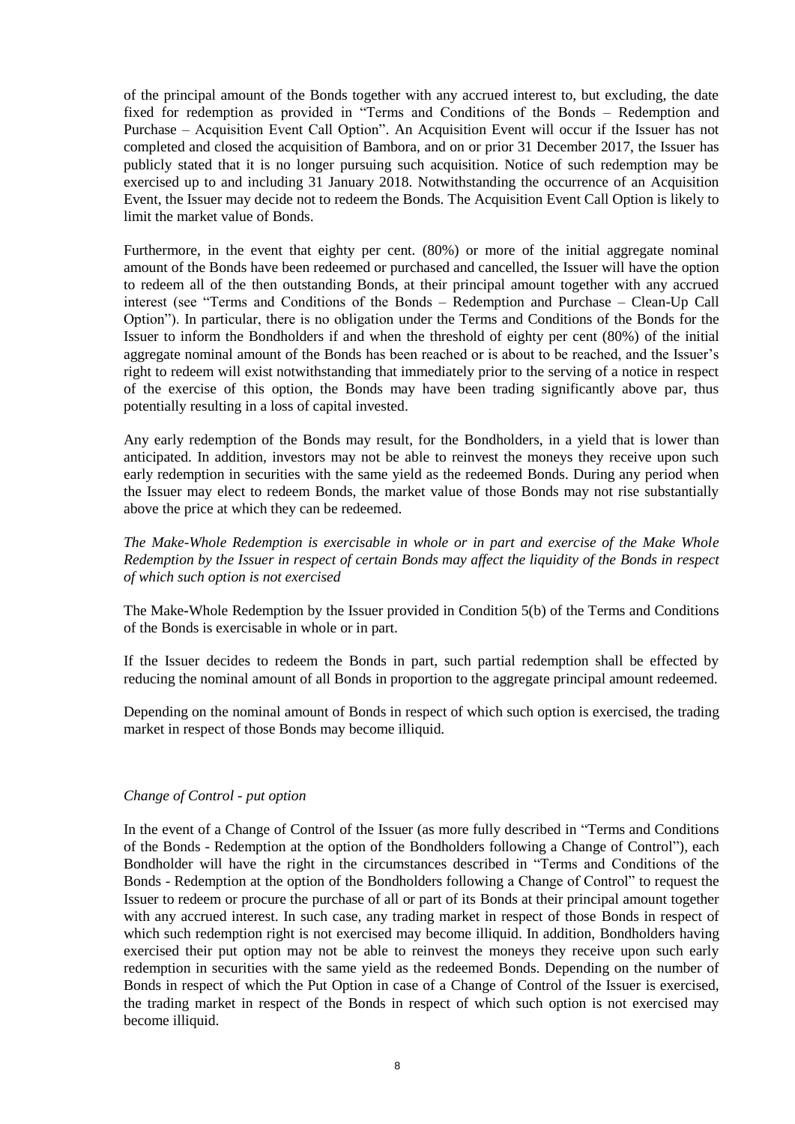of the principal amount of the Bonds together with any accrued interest to, but excluding, the date fixed for redemption as provided in "Terms and Conditions of the Bonds – Redemption and Purchase – Acquisition Event Call Option". An Acquisition Event will occur if the Issuer has not completed and closed the acquisition of Bambora, and on or prior 31 December 2017, the Issuer has publicly stated that it is no longer pursuing such acquisition. Notice of such redemption may be exercised up to and including 31 January 2018. Notwithstanding the occurrence of an Acquisition Event, the Issuer may decide not to redeem the Bonds. The Acquisition Event Call Option is likely to limit the market value of Bonds.

Furthermore, in the event that eighty per cent. (80%) or more of the initial aggregate nominal amount of the Bonds have been redeemed or purchased and cancelled, the Issuer will have the option to redeem all of the then outstanding Bonds, at their principal amount together with any accrued interest (see "Terms and Conditions of the Bonds – Redemption and Purchase – Clean-Up Call Option"). In particular, there is no obligation under the Terms and Conditions of the Bonds for the Issuer to inform the Bondholders if and when the threshold of eighty per cent (80%) of the initial aggregate nominal amount of the Bonds has been reached or is about to be reached, and the Issuer's right to redeem will exist notwithstanding that immediately prior to the serving of a notice in respect of the exercise of this option, the Bonds may have been trading significantly above par, thus potentially resulting in a loss of capital invested.

Any early redemption of the Bonds may result, for the Bondholders, in a yield that is lower than anticipated. In addition, investors may not be able to reinvest the moneys they receive upon such early redemption in securities with the same yield as the redeemed Bonds. During any period when the Issuer may elect to redeem Bonds, the market value of those Bonds may not rise substantially above the price at which they can be redeemed.

*The Make-Whole Redemption is exercisable in whole or in part and exercise of the Make Whole Redemption by the Issuer in respect of certain Bonds may affect the liquidity of the Bonds in respect of which such option is not exercised*

The Make**-**Whole Redemption by the Issuer provided in Condition 5(b) of the Terms and Conditions of the Bonds is exercisable in whole or in part.

If the Issuer decides to redeem the Bonds in part, such partial redemption shall be effected by reducing the nominal amount of all Bonds in proportion to the aggregate principal amount redeemed.

Depending on the nominal amount of Bonds in respect of which such option is exercised, the trading market in respect of those Bonds may become illiquid.

# *Change of Control - put option*

In the event of a Change of Control of the Issuer (as more fully described in "Terms and Conditions of the Bonds - Redemption at the option of the Bondholders following a Change of Control"), each Bondholder will have the right in the circumstances described in "Terms and Conditions of the Bonds - Redemption at the option of the Bondholders following a Change of Control" to request the Issuer to redeem or procure the purchase of all or part of its Bonds at their principal amount together with any accrued interest. In such case, any trading market in respect of those Bonds in respect of which such redemption right is not exercised may become illiquid. In addition, Bondholders having exercised their put option may not be able to reinvest the moneys they receive upon such early redemption in securities with the same yield as the redeemed Bonds. Depending on the number of Bonds in respect of which the Put Option in case of a Change of Control of the Issuer is exercised, the trading market in respect of the Bonds in respect of which such option is not exercised may become illiquid.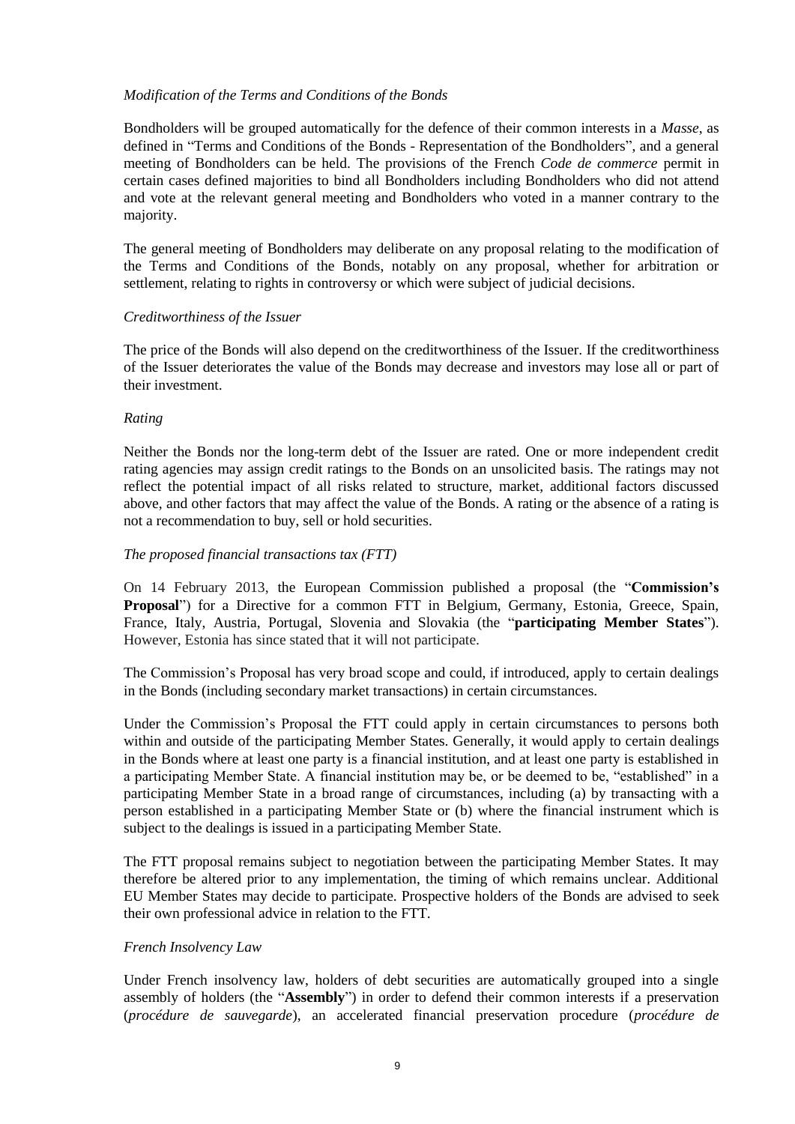# *Modification of the Terms and Conditions of the Bonds*

Bondholders will be grouped automatically for the defence of their common interests in a *Masse*, as defined in "Terms and Conditions of the Bonds - Representation of the Bondholders", and a general meeting of Bondholders can be held. The provisions of the French *Code de commerce* permit in certain cases defined majorities to bind all Bondholders including Bondholders who did not attend and vote at the relevant general meeting and Bondholders who voted in a manner contrary to the majority.

The general meeting of Bondholders may deliberate on any proposal relating to the modification of the Terms and Conditions of the Bonds, notably on any proposal, whether for arbitration or settlement, relating to rights in controversy or which were subject of judicial decisions.

# *Creditworthiness of the Issuer*

The price of the Bonds will also depend on the creditworthiness of the Issuer. If the creditworthiness of the Issuer deteriorates the value of the Bonds may decrease and investors may lose all or part of their investment.

# *Rating*

Neither the Bonds nor the long-term debt of the Issuer are rated. One or more independent credit rating agencies may assign credit ratings to the Bonds on an unsolicited basis. The ratings may not reflect the potential impact of all risks related to structure, market, additional factors discussed above, and other factors that may affect the value of the Bonds. A rating or the absence of a rating is not a recommendation to buy, sell or hold securities.

#### *The proposed financial transactions tax (FTT)*

On 14 February 2013, the European Commission published a proposal (the "**Commission's Proposal**") for a Directive for a common FTT in Belgium, Germany, Estonia, Greece, Spain, France, Italy, Austria, Portugal, Slovenia and Slovakia (the "**participating Member States**"). However, Estonia has since stated that it will not participate.

The Commission's Proposal has very broad scope and could, if introduced, apply to certain dealings in the Bonds (including secondary market transactions) in certain circumstances.

Under the Commission's Proposal the FTT could apply in certain circumstances to persons both within and outside of the participating Member States. Generally, it would apply to certain dealings in the Bonds where at least one party is a financial institution, and at least one party is established in a participating Member State. A financial institution may be, or be deemed to be, "established" in a participating Member State in a broad range of circumstances, including (a) by transacting with a person established in a participating Member State or (b) where the financial instrument which is subject to the dealings is issued in a participating Member State.

The FTT proposal remains subject to negotiation between the participating Member States. It may therefore be altered prior to any implementation, the timing of which remains unclear. Additional EU Member States may decide to participate. Prospective holders of the Bonds are advised to seek their own professional advice in relation to the FTT.

#### *French Insolvency Law*

Under French insolvency law, holders of debt securities are automatically grouped into a single assembly of holders (the "**Assembly**") in order to defend their common interests if a preservation (*procédure de sauvegarde*), an accelerated financial preservation procedure (*procédure de*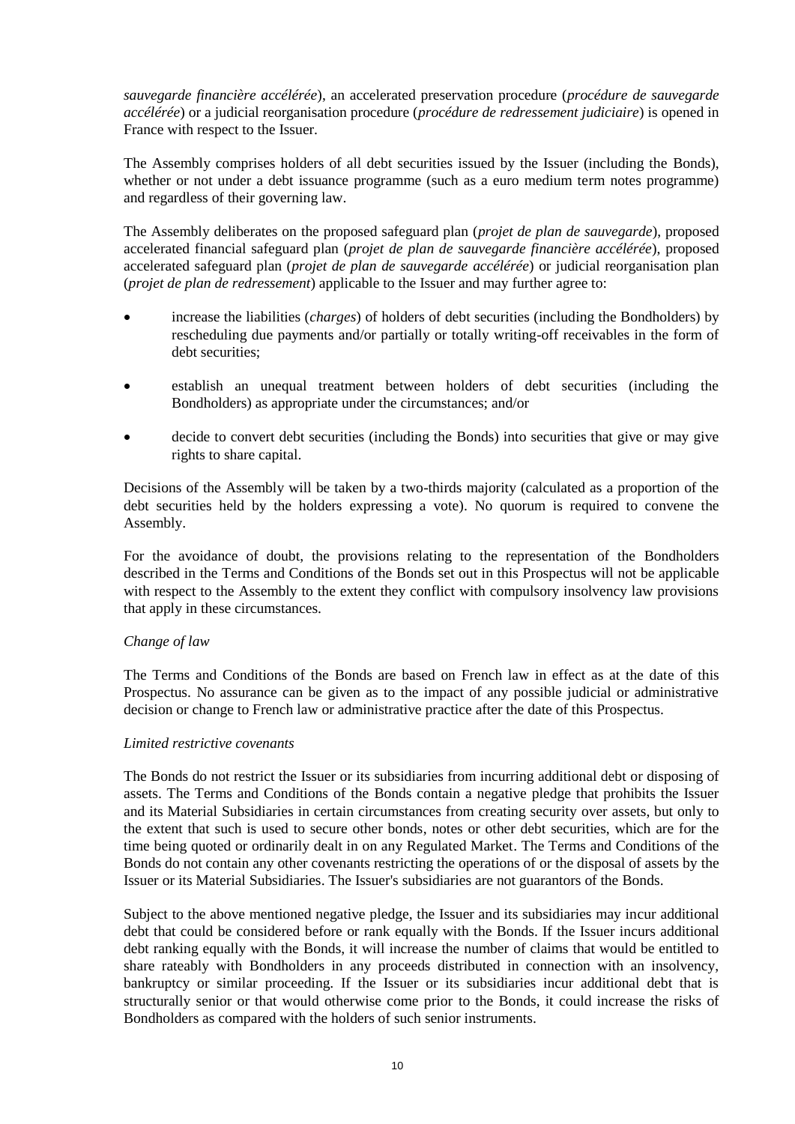*sauvegarde financière accélérée*), an accelerated preservation procedure (*procédure de sauvegarde accélérée*) or a judicial reorganisation procedure (*procédure de redressement judiciaire*) is opened in France with respect to the Issuer.

The Assembly comprises holders of all debt securities issued by the Issuer (including the Bonds), whether or not under a debt issuance programme (such as a euro medium term notes programme) and regardless of their governing law.

The Assembly deliberates on the proposed safeguard plan (*projet de plan de sauvegarde*), proposed accelerated financial safeguard plan (*projet de plan de sauvegarde financière accélérée*), proposed accelerated safeguard plan (*projet de plan de sauvegarde accélérée*) or judicial reorganisation plan (*projet de plan de redressement*) applicable to the Issuer and may further agree to:

- increase the liabilities (*charges*) of holders of debt securities (including the Bondholders) by rescheduling due payments and/or partially or totally writing-off receivables in the form of debt securities;
- establish an unequal treatment between holders of debt securities (including the Bondholders) as appropriate under the circumstances; and/or
- decide to convert debt securities (including the Bonds) into securities that give or may give rights to share capital.

Decisions of the Assembly will be taken by a two-thirds majority (calculated as a proportion of the debt securities held by the holders expressing a vote). No quorum is required to convene the Assembly.

For the avoidance of doubt, the provisions relating to the representation of the Bondholders described in the Terms and Conditions of the Bonds set out in this Prospectus will not be applicable with respect to the Assembly to the extent they conflict with compulsory insolvency law provisions that apply in these circumstances.

# *Change of law*

The Terms and Conditions of the Bonds are based on French law in effect as at the date of this Prospectus. No assurance can be given as to the impact of any possible judicial or administrative decision or change to French law or administrative practice after the date of this Prospectus.

#### *Limited restrictive covenants*

The Bonds do not restrict the Issuer or its subsidiaries from incurring additional debt or disposing of assets. The Terms and Conditions of the Bonds contain a negative pledge that prohibits the Issuer and its Material Subsidiaries in certain circumstances from creating security over assets, but only to the extent that such is used to secure other bonds, notes or other debt securities, which are for the time being quoted or ordinarily dealt in on any Regulated Market. The Terms and Conditions of the Bonds do not contain any other covenants restricting the operations of or the disposal of assets by the Issuer or its Material Subsidiaries. The Issuer's subsidiaries are not guarantors of the Bonds.

Subject to the above mentioned negative pledge, the Issuer and its subsidiaries may incur additional debt that could be considered before or rank equally with the Bonds. If the Issuer incurs additional debt ranking equally with the Bonds, it will increase the number of claims that would be entitled to share rateably with Bondholders in any proceeds distributed in connection with an insolvency, bankruptcy or similar proceeding. If the Issuer or its subsidiaries incur additional debt that is structurally senior or that would otherwise come prior to the Bonds, it could increase the risks of Bondholders as compared with the holders of such senior instruments.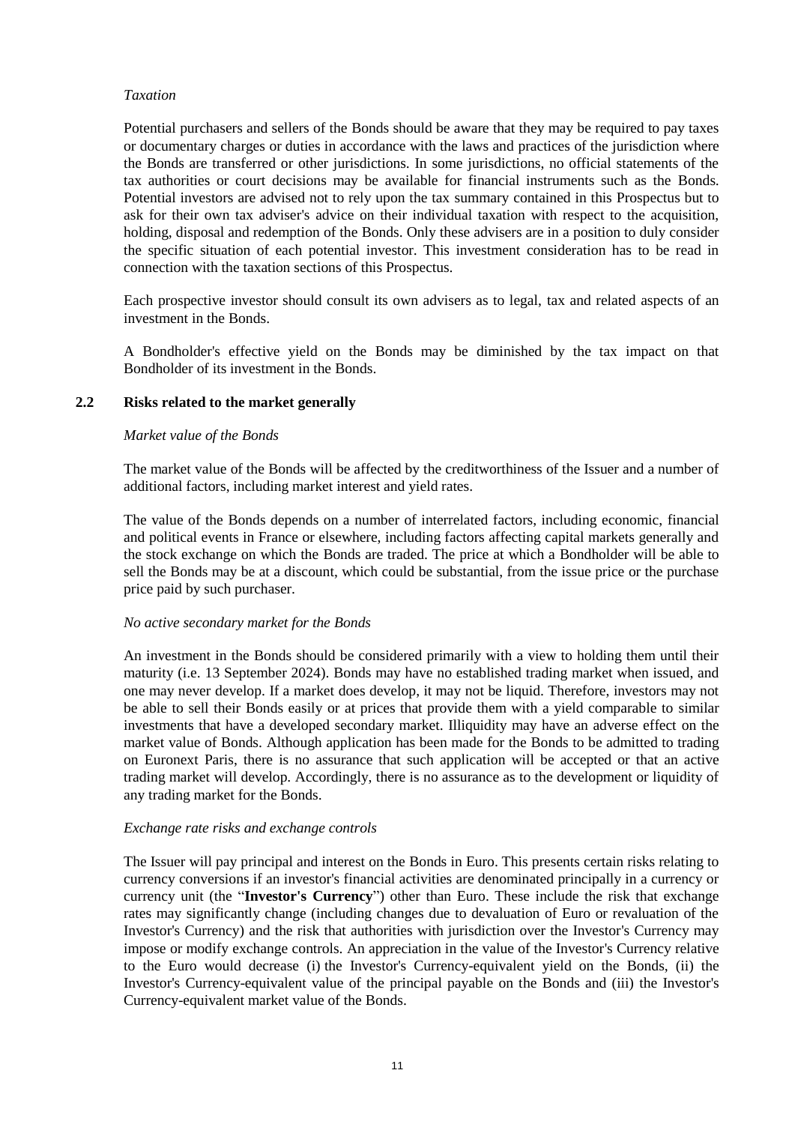## *Taxation*

Potential purchasers and sellers of the Bonds should be aware that they may be required to pay taxes or documentary charges or duties in accordance with the laws and practices of the jurisdiction where the Bonds are transferred or other jurisdictions. In some jurisdictions, no official statements of the tax authorities or court decisions may be available for financial instruments such as the Bonds. Potential investors are advised not to rely upon the tax summary contained in this Prospectus but to ask for their own tax adviser's advice on their individual taxation with respect to the acquisition, holding, disposal and redemption of the Bonds. Only these advisers are in a position to duly consider the specific situation of each potential investor. This investment consideration has to be read in connection with the taxation sections of this Prospectus.

Each prospective investor should consult its own advisers as to legal, tax and related aspects of an investment in the Bonds.

A Bondholder's effective yield on the Bonds may be diminished by the tax impact on that Bondholder of its investment in the Bonds.

# **2.2 Risks related to the market generally**

#### *Market value of the Bonds*

The market value of the Bonds will be affected by the creditworthiness of the Issuer and a number of additional factors, including market interest and yield rates.

The value of the Bonds depends on a number of interrelated factors, including economic, financial and political events in France or elsewhere, including factors affecting capital markets generally and the stock exchange on which the Bonds are traded. The price at which a Bondholder will be able to sell the Bonds may be at a discount, which could be substantial, from the issue price or the purchase price paid by such purchaser.

#### *No active secondary market for the Bonds*

An investment in the Bonds should be considered primarily with a view to holding them until their maturity (i.e. 13 September 2024). Bonds may have no established trading market when issued, and one may never develop. If a market does develop, it may not be liquid. Therefore, investors may not be able to sell their Bonds easily or at prices that provide them with a yield comparable to similar investments that have a developed secondary market. Illiquidity may have an adverse effect on the market value of Bonds. Although application has been made for the Bonds to be admitted to trading on Euronext Paris, there is no assurance that such application will be accepted or that an active trading market will develop. Accordingly, there is no assurance as to the development or liquidity of any trading market for the Bonds.

#### *Exchange rate risks and exchange controls*

The Issuer will pay principal and interest on the Bonds in Euro. This presents certain risks relating to currency conversions if an investor's financial activities are denominated principally in a currency or currency unit (the "**Investor's Currency**") other than Euro. These include the risk that exchange rates may significantly change (including changes due to devaluation of Euro or revaluation of the Investor's Currency) and the risk that authorities with jurisdiction over the Investor's Currency may impose or modify exchange controls. An appreciation in the value of the Investor's Currency relative to the Euro would decrease (i) the Investor's Currency-equivalent yield on the Bonds, (ii) the Investor's Currency-equivalent value of the principal payable on the Bonds and (iii) the Investor's Currency-equivalent market value of the Bonds.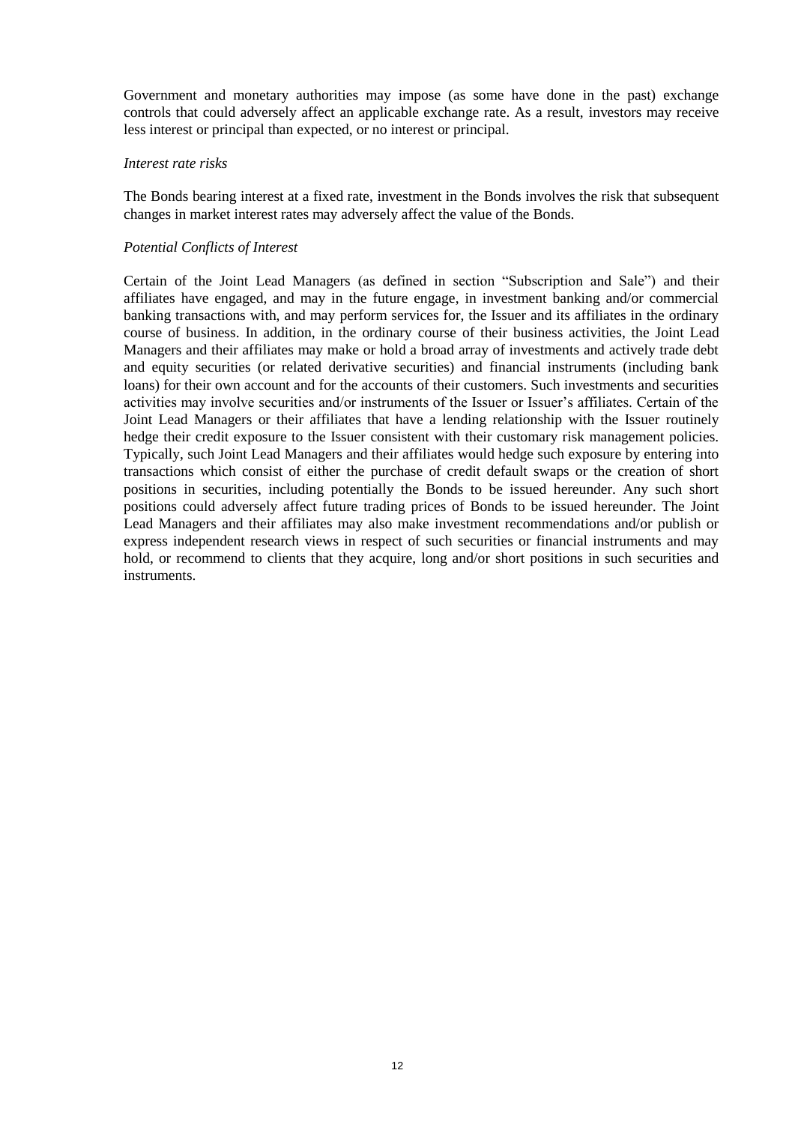Government and monetary authorities may impose (as some have done in the past) exchange controls that could adversely affect an applicable exchange rate. As a result, investors may receive less interest or principal than expected, or no interest or principal.

#### *Interest rate risks*

The Bonds bearing interest at a fixed rate, investment in the Bonds involves the risk that subsequent changes in market interest rates may adversely affect the value of the Bonds.

# *Potential Conflicts of Interest*

Certain of the Joint Lead Managers (as defined in section "Subscription and Sale") and their affiliates have engaged, and may in the future engage, in investment banking and/or commercial banking transactions with, and may perform services for, the Issuer and its affiliates in the ordinary course of business. In addition, in the ordinary course of their business activities, the Joint Lead Managers and their affiliates may make or hold a broad array of investments and actively trade debt and equity securities (or related derivative securities) and financial instruments (including bank loans) for their own account and for the accounts of their customers. Such investments and securities activities may involve securities and/or instruments of the Issuer or Issuer's affiliates. Certain of the Joint Lead Managers or their affiliates that have a lending relationship with the Issuer routinely hedge their credit exposure to the Issuer consistent with their customary risk management policies. Typically, such Joint Lead Managers and their affiliates would hedge such exposure by entering into transactions which consist of either the purchase of credit default swaps or the creation of short positions in securities, including potentially the Bonds to be issued hereunder. Any such short positions could adversely affect future trading prices of Bonds to be issued hereunder. The Joint Lead Managers and their affiliates may also make investment recommendations and/or publish or express independent research views in respect of such securities or financial instruments and may hold, or recommend to clients that they acquire, long and/or short positions in such securities and instruments.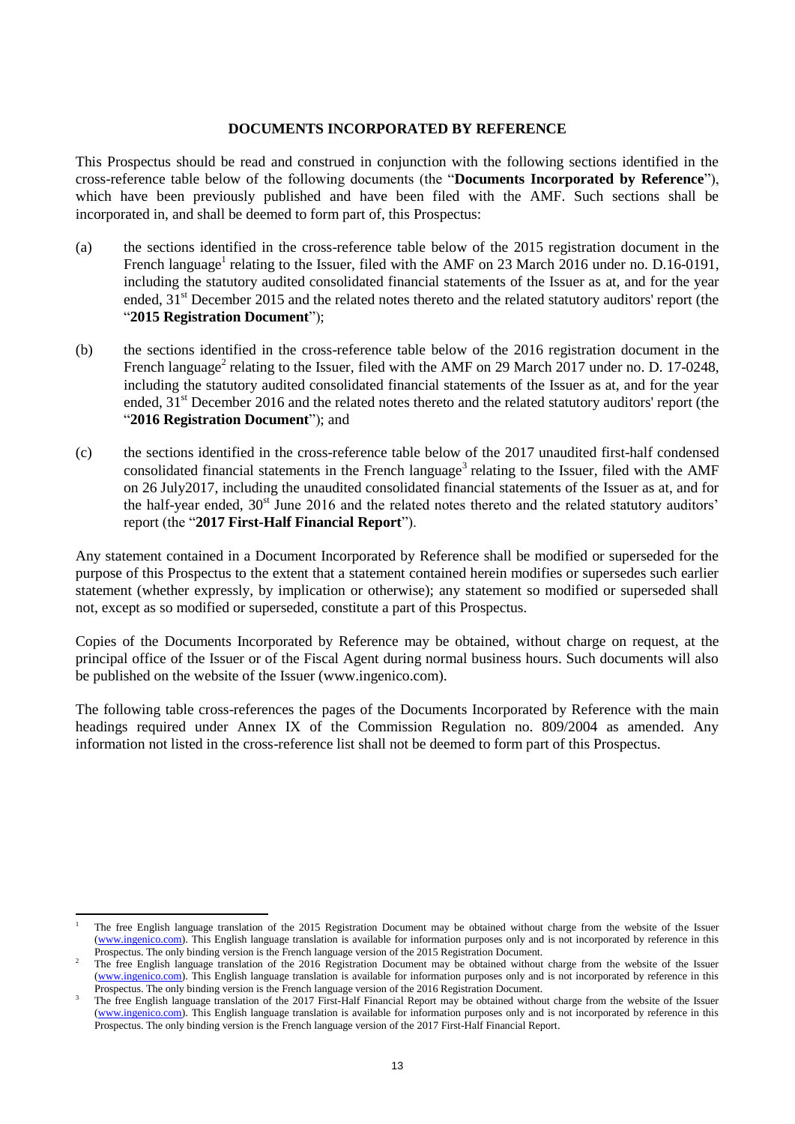#### **DOCUMENTS INCORPORATED BY REFERENCE**

This Prospectus should be read and construed in conjunction with the following sections identified in the cross-reference table below of the following documents (the "**Documents Incorporated by Reference**"), which have been previously published and have been filed with the AMF. Such sections shall be incorporated in, and shall be deemed to form part of, this Prospectus:

- (a) the sections identified in the cross-reference table below of the 2015 registration document in the French language<sup>1</sup> relating to the Issuer, filed with the AMF on 23 March 2016 under no. D.16-0191, including the statutory audited consolidated financial statements of the Issuer as at, and for the year ended, 31<sup>st</sup> December 2015 and the related notes thereto and the related statutory auditors' report (the "**2015 Registration Document**");
- (b) the sections identified in the cross-reference table below of the 2016 registration document in the French language<sup>2</sup> relating to the Issuer, filed with the AMF on 29 March 2017 under no. D. 17-0248, including the statutory audited consolidated financial statements of the Issuer as at, and for the year ended, 31<sup>st</sup> December 2016 and the related notes thereto and the related statutory auditors' report (the "**2016 Registration Document**"); and
- (c) the sections identified in the cross-reference table below of the 2017 unaudited first-half condensed consolidated financial statements in the French language<sup>3</sup> relating to the Issuer, filed with the AMF on 26 July2017, including the unaudited consolidated financial statements of the Issuer as at, and for the half-year ended,  $30<sup>st</sup>$  June 2016 and the related notes thereto and the related statutory auditors' report (the "**2017 First-Half Financial Report**").

Any statement contained in a Document Incorporated by Reference shall be modified or superseded for the purpose of this Prospectus to the extent that a statement contained herein modifies or supersedes such earlier statement (whether expressly, by implication or otherwise); any statement so modified or superseded shall not, except as so modified or superseded, constitute a part of this Prospectus.

Copies of the Documents Incorporated by Reference may be obtained, without charge on request, at the principal office of the Issuer or of the Fiscal Agent during normal business hours. Such documents will also be published on the website of the Issuer (www.ingenico.com).

The following table cross-references the pages of the Documents Incorporated by Reference with the main headings required under Annex IX of the Commission Regulation no. 809/2004 as amended. Any information not listed in the cross-reference list shall not be deemed to form part of this Prospectus.

-

<sup>1</sup> The free English language translation of the 2015 Registration Document may be obtained without charge from the website of the Issuer [\(www.ingenico.com\)](http://www.ingenico.com/). This English language translation is available for information purposes only and is not incorporated by reference in this Prospectus. The only binding version is the French language version of the 2015 Registration Document.

The free English language translation of the 2016 Registration Document may be obtained without charge from the website of the Issuer [\(www.ingenico.com\)](http://www.ingenico.com/). This English language translation is available for information purposes only and is not incorporated by reference in this Prospectus. The only binding version is the French language version of the 2016 Registration Document.

<sup>3</sup> The free English language translation of the 2017 First-Half Financial Report may be obtained without charge from the website of the Issuer [\(www.ingenico.com\)](http://www.ingenico.com/). This English language translation is available for information purposes only and is not incorporated by reference in this Prospectus. The only binding version is the French language version of the 2017 First-Half Financial Report.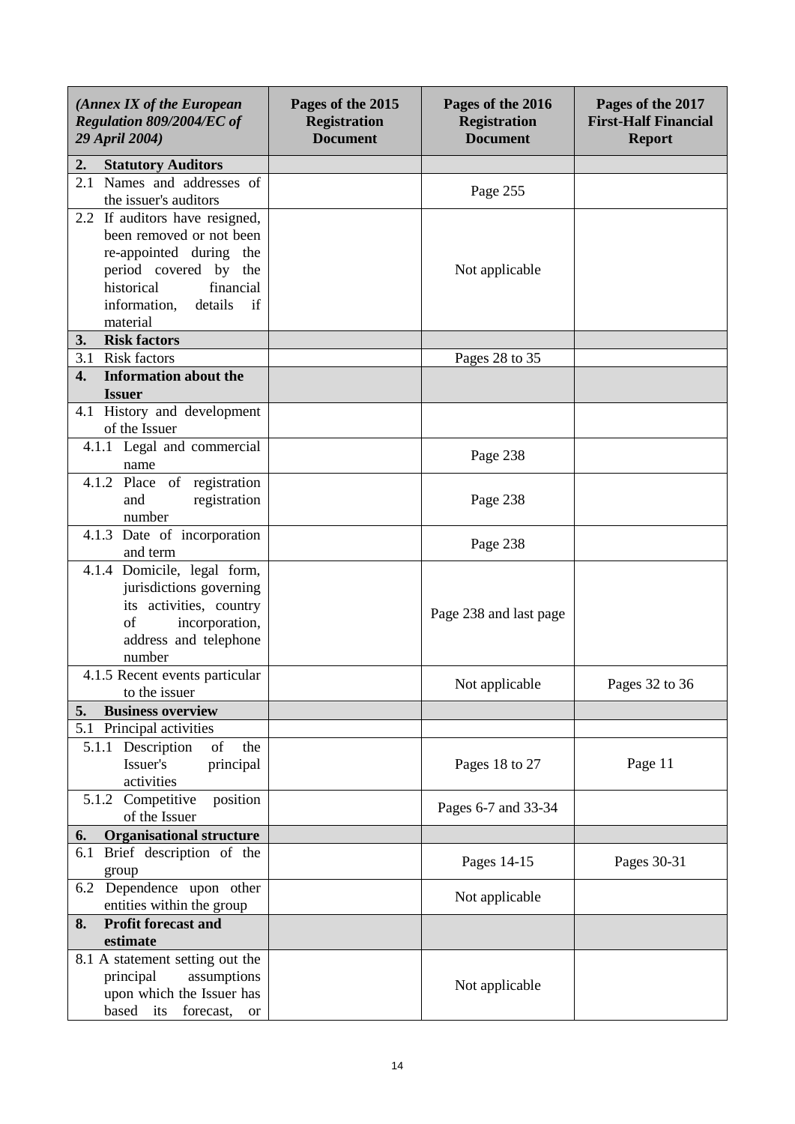| (Annex IX of the European<br>Regulation 809/2004/EC of<br>29 April 2004)                                                                                                               | Pages of the 2015<br><b>Registration</b><br><b>Document</b> | Pages of the 2016<br><b>Registration</b><br><b>Document</b> | Pages of the 2017<br><b>First-Half Financial</b><br><b>Report</b> |
|----------------------------------------------------------------------------------------------------------------------------------------------------------------------------------------|-------------------------------------------------------------|-------------------------------------------------------------|-------------------------------------------------------------------|
| <b>Statutory Auditors</b><br>2.                                                                                                                                                        |                                                             |                                                             |                                                                   |
| 2.1 Names and addresses of<br>the issuer's auditors                                                                                                                                    |                                                             | Page 255                                                    |                                                                   |
| 2.2 If auditors have resigned,<br>been removed or not been<br>re-appointed during the<br>period covered by the<br>historical<br>financial<br>details<br>information,<br>if<br>material |                                                             | Not applicable                                              |                                                                   |
| <b>Risk factors</b><br>3.                                                                                                                                                              |                                                             |                                                             |                                                                   |
| <b>Risk factors</b><br>3.1                                                                                                                                                             |                                                             | Pages 28 to 35                                              |                                                                   |
| <b>Information about the</b><br>4.<br><b>Issuer</b>                                                                                                                                    |                                                             |                                                             |                                                                   |
| $\overline{4.1}$ History and development<br>of the Issuer                                                                                                                              |                                                             |                                                             |                                                                   |
| 4.1.1 Legal and commercial<br>name                                                                                                                                                     |                                                             | Page 238                                                    |                                                                   |
| 4.1.2 Place of registration<br>registration<br>and<br>number                                                                                                                           |                                                             | Page 238                                                    |                                                                   |
| 4.1.3 Date of incorporation<br>and term                                                                                                                                                |                                                             | Page 238                                                    |                                                                   |
| 4.1.4 Domicile, legal form,<br>jurisdictions governing<br>its activities, country<br>of<br>incorporation,<br>address and telephone<br>number                                           |                                                             | Page 238 and last page                                      |                                                                   |
| 4.1.5 Recent events particular<br>to the issuer                                                                                                                                        |                                                             | Not applicable                                              | Pages 32 to 36                                                    |
| <b>Business overview</b><br>5.                                                                                                                                                         |                                                             |                                                             |                                                                   |
| 5.1<br>Principal activities                                                                                                                                                            |                                                             |                                                             |                                                                   |
| 5.1.1 Description<br>of<br>the<br>Issuer's<br>principal<br>activities                                                                                                                  |                                                             | Pages 18 to 27                                              | Page 11                                                           |
| 5.1.2 Competitive<br>position<br>of the Issuer                                                                                                                                         |                                                             | Pages 6-7 and 33-34                                         |                                                                   |
| <b>Organisational structure</b><br>6.                                                                                                                                                  |                                                             |                                                             |                                                                   |
| 6.1 Brief description of the<br>group                                                                                                                                                  |                                                             | Pages 14-15                                                 | Pages 30-31                                                       |
| 6.2 Dependence upon other<br>entities within the group                                                                                                                                 |                                                             | Not applicable                                              |                                                                   |
| <b>Profit forecast and</b><br>8.                                                                                                                                                       |                                                             |                                                             |                                                                   |
| estimate                                                                                                                                                                               |                                                             |                                                             |                                                                   |
| 8.1 A statement setting out the<br>principal<br>assumptions<br>upon which the Issuer has<br>based<br>its<br>forecast,<br><b>or</b>                                                     |                                                             | Not applicable                                              |                                                                   |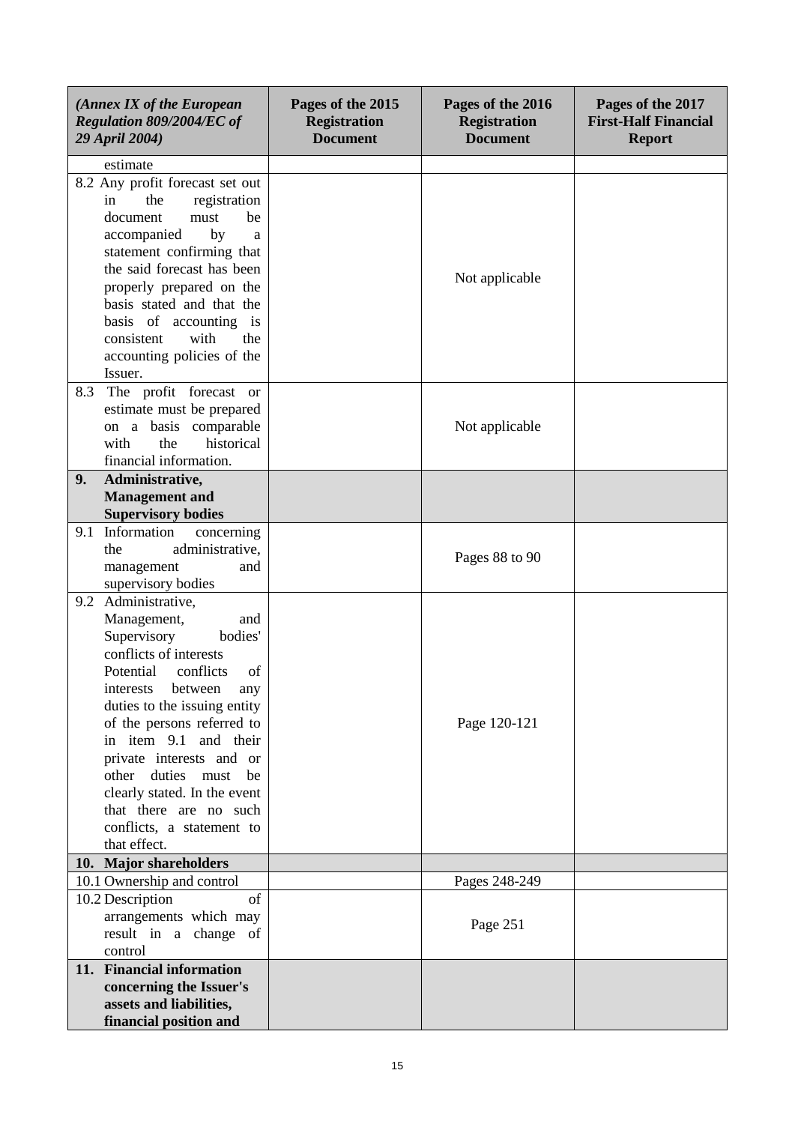| (Annex IX of the European<br>Regulation 809/2004/EC of<br>29 April 2004)                                                                                                                                                                                                                                                                                                                                          | Pages of the 2015<br><b>Registration</b><br><b>Document</b> | Pages of the 2016<br><b>Registration</b><br><b>Document</b> | Pages of the 2017<br><b>First-Half Financial</b><br><b>Report</b> |
|-------------------------------------------------------------------------------------------------------------------------------------------------------------------------------------------------------------------------------------------------------------------------------------------------------------------------------------------------------------------------------------------------------------------|-------------------------------------------------------------|-------------------------------------------------------------|-------------------------------------------------------------------|
| estimate                                                                                                                                                                                                                                                                                                                                                                                                          |                                                             |                                                             |                                                                   |
| 8.2 Any profit forecast set out<br>the<br>registration<br>in<br>document<br>be<br>must<br>accompanied<br>by<br>a<br>statement confirming that<br>the said forecast has been<br>properly prepared on the<br>basis stated and that the<br>basis of accounting is<br>with<br>consistent<br>the                                                                                                                       |                                                             | Not applicable                                              |                                                                   |
| accounting policies of the                                                                                                                                                                                                                                                                                                                                                                                        |                                                             |                                                             |                                                                   |
| Issuer.<br>The profit forecast or<br>8.3<br>estimate must be prepared<br>on a basis comparable<br>the<br>historical<br>with<br>financial information.                                                                                                                                                                                                                                                             |                                                             | Not applicable                                              |                                                                   |
| 9.<br>Administrative,                                                                                                                                                                                                                                                                                                                                                                                             |                                                             |                                                             |                                                                   |
| <b>Management</b> and                                                                                                                                                                                                                                                                                                                                                                                             |                                                             |                                                             |                                                                   |
| <b>Supervisory bodies</b>                                                                                                                                                                                                                                                                                                                                                                                         |                                                             |                                                             |                                                                   |
| Information<br>concerning<br>9.1<br>administrative,<br>the<br>management<br>and<br>supervisory bodies                                                                                                                                                                                                                                                                                                             |                                                             | Pages 88 to 90                                              |                                                                   |
| 9.2 Administrative,<br>Management,<br>and<br>Supervisory<br>bodies'<br>conflicts of interests<br>Potential<br>conflicts<br>of<br>between<br>interests<br>any<br>duties to the issuing entity<br>of the persons referred to<br>in item 9.1 and their<br>private interests and or<br>other duties must<br>be<br>clearly stated. In the event<br>that there are no such<br>conflicts, a statement to<br>that effect. |                                                             | Page 120-121                                                |                                                                   |
| 10. Major shareholders                                                                                                                                                                                                                                                                                                                                                                                            |                                                             |                                                             |                                                                   |
| 10.1 Ownership and control                                                                                                                                                                                                                                                                                                                                                                                        |                                                             | Pages 248-249                                               |                                                                   |
| 10.2 Description<br>of<br>arrangements which may<br>result in a change of<br>control                                                                                                                                                                                                                                                                                                                              |                                                             | Page 251                                                    |                                                                   |
| 11. Financial information<br>concerning the Issuer's<br>assets and liabilities,<br>financial position and                                                                                                                                                                                                                                                                                                         |                                                             |                                                             |                                                                   |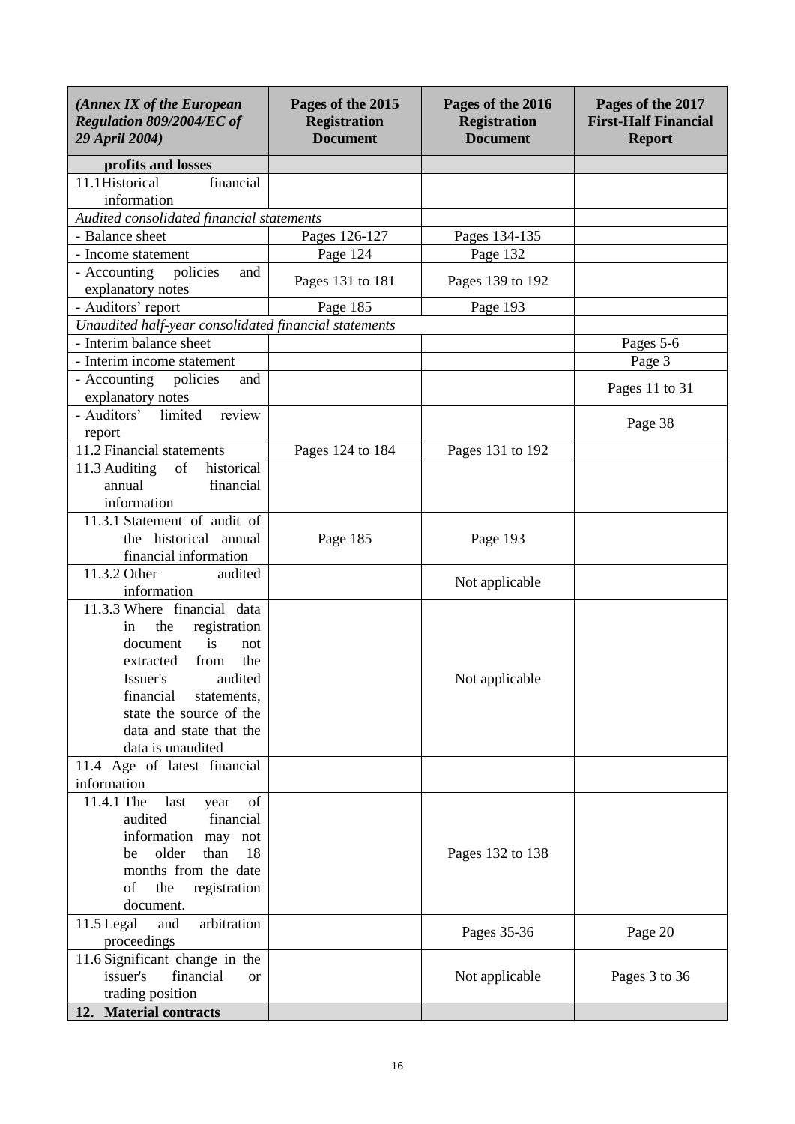| (Annex IX of the European<br>Regulation 809/2004/EC of<br>29 April 2004) | Pages of the 2015<br><b>Registration</b><br><b>Document</b> | Pages of the 2016<br><b>Registration</b><br><b>Document</b> | Pages of the 2017<br><b>First-Half Financial</b><br><b>Report</b> |
|--------------------------------------------------------------------------|-------------------------------------------------------------|-------------------------------------------------------------|-------------------------------------------------------------------|
| profits and losses                                                       |                                                             |                                                             |                                                                   |
| 11.1Historical<br>financial<br>information                               |                                                             |                                                             |                                                                   |
| Audited consolidated financial statements                                |                                                             |                                                             |                                                                   |
| - Balance sheet                                                          | Pages 126-127                                               | Pages 134-135                                               |                                                                   |
| - Income statement                                                       | Page 124                                                    | Page 132                                                    |                                                                   |
| policies<br>- Accounting<br>and<br>explanatory notes                     | Pages 131 to 181                                            | Pages 139 to 192                                            |                                                                   |
| - Auditors' report                                                       | Page 185                                                    | Page 193                                                    |                                                                   |
| Unaudited half-year consolidated financial statements                    |                                                             |                                                             |                                                                   |
| - Interim balance sheet                                                  |                                                             |                                                             | Pages 5-6                                                         |
| - Interim income statement                                               |                                                             |                                                             | Page 3                                                            |
| - Accounting<br>policies<br>and                                          |                                                             |                                                             |                                                                   |
| explanatory notes                                                        |                                                             |                                                             | Pages 11 to 31                                                    |
| - Auditors'<br>limited<br>review<br>report                               |                                                             |                                                             | Page 38                                                           |
| 11.2 Financial statements                                                | Pages 124 to 184                                            | Pages 131 to 192                                            |                                                                   |
| historical<br>11.3 Auditing<br>of                                        |                                                             |                                                             |                                                                   |
| financial<br>annual                                                      |                                                             |                                                             |                                                                   |
| information                                                              |                                                             |                                                             |                                                                   |
| 11.3.1 Statement of audit of                                             |                                                             |                                                             |                                                                   |
| the historical annual                                                    | Page 185                                                    | Page 193                                                    |                                                                   |
| financial information                                                    |                                                             |                                                             |                                                                   |
| 11.3.2 Other<br>audited                                                  |                                                             |                                                             |                                                                   |
| information                                                              |                                                             | Not applicable                                              |                                                                   |
| 11.3.3 Where financial data                                              |                                                             |                                                             |                                                                   |
| the<br>registration<br>in                                                |                                                             |                                                             |                                                                   |
| is<br>document<br>not                                                    |                                                             |                                                             |                                                                   |
| the<br>extracted<br>from                                                 |                                                             |                                                             |                                                                   |
| audited<br>Issuer's                                                      |                                                             | Not applicable                                              |                                                                   |
| financial<br>statements,                                                 |                                                             |                                                             |                                                                   |
| state the source of the                                                  |                                                             |                                                             |                                                                   |
| data and state that the                                                  |                                                             |                                                             |                                                                   |
| data is unaudited                                                        |                                                             |                                                             |                                                                   |
| 11.4 Age of latest financial                                             |                                                             |                                                             |                                                                   |
| information                                                              |                                                             |                                                             |                                                                   |
| 11.4.1 The<br>last<br>of<br>year                                         |                                                             |                                                             |                                                                   |
| audited<br>financial                                                     |                                                             |                                                             |                                                                   |
| information<br>may not                                                   |                                                             |                                                             |                                                                   |
| older<br>than<br>18<br>be                                                |                                                             | Pages 132 to 138                                            |                                                                   |
| months from the date                                                     |                                                             |                                                             |                                                                   |
| of<br>the<br>registration                                                |                                                             |                                                             |                                                                   |
| document.                                                                |                                                             |                                                             |                                                                   |
| 11.5 Legal<br>and<br>arbitration                                         |                                                             | Pages 35-36                                                 | Page 20                                                           |
| proceedings                                                              |                                                             |                                                             |                                                                   |
| 11.6 Significant change in the                                           |                                                             |                                                             |                                                                   |
| financial<br>issuer's<br><b>or</b>                                       |                                                             | Not applicable                                              | Pages 3 to 36                                                     |
| trading position                                                         |                                                             |                                                             |                                                                   |
| 12. Material contracts                                                   |                                                             |                                                             |                                                                   |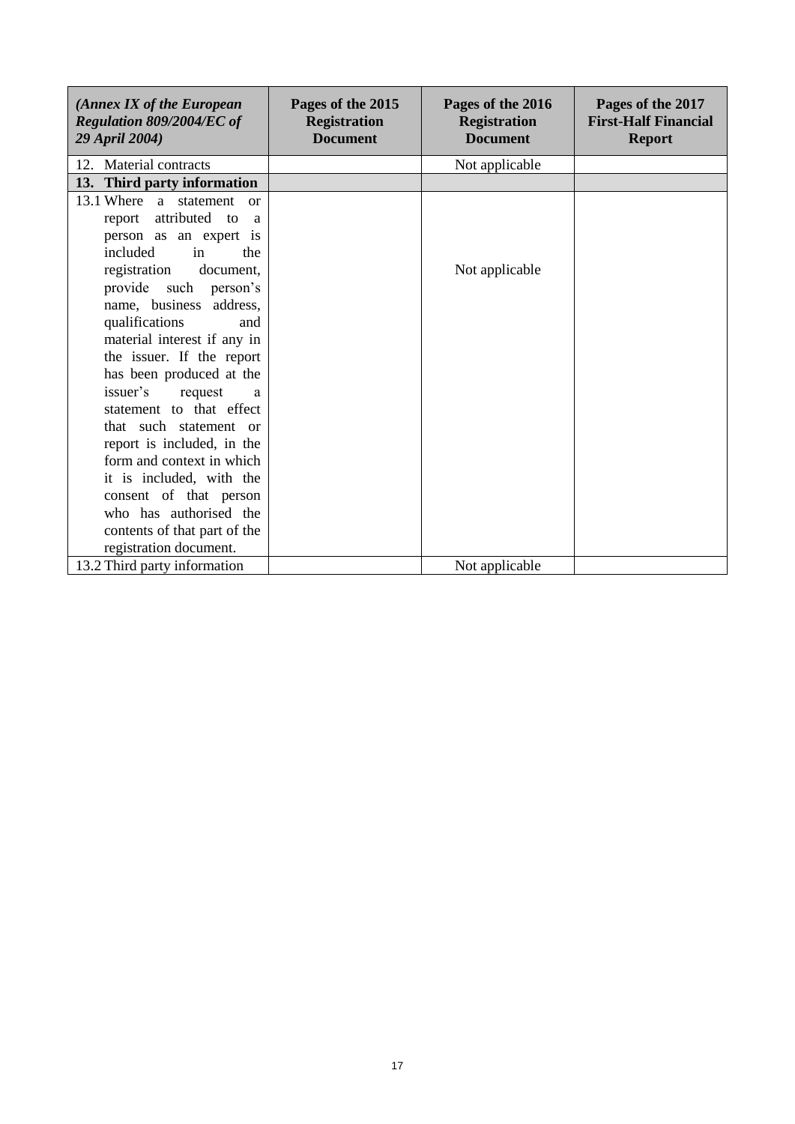| (Annex IX of the European)<br>Regulation 809/2004/EC of<br>29 April 2004) | Pages of the 2015<br><b>Registration</b><br><b>Document</b> | Pages of the 2016<br><b>Registration</b><br><b>Document</b> | Pages of the 2017<br><b>First-Half Financial</b><br><b>Report</b> |
|---------------------------------------------------------------------------|-------------------------------------------------------------|-------------------------------------------------------------|-------------------------------------------------------------------|
| 12. Material contracts                                                    |                                                             | Not applicable                                              |                                                                   |
| 13. Third party information                                               |                                                             |                                                             |                                                                   |
| 13.1 Where<br>a statement<br>or                                           |                                                             |                                                             |                                                                   |
| attributed to<br>report<br>a                                              |                                                             |                                                             |                                                                   |
| person as an expert is                                                    |                                                             |                                                             |                                                                   |
| included<br>in<br>the                                                     |                                                             |                                                             |                                                                   |
| document,<br>registration                                                 |                                                             | Not applicable                                              |                                                                   |
| provide such<br>person's                                                  |                                                             |                                                             |                                                                   |
| name, business address,                                                   |                                                             |                                                             |                                                                   |
| qualifications<br>and                                                     |                                                             |                                                             |                                                                   |
| material interest if any in                                               |                                                             |                                                             |                                                                   |
| the issuer. If the report                                                 |                                                             |                                                             |                                                                   |
| has been produced at the                                                  |                                                             |                                                             |                                                                   |
| issuer's<br>request<br>a                                                  |                                                             |                                                             |                                                                   |
| statement to that effect                                                  |                                                             |                                                             |                                                                   |
| that such statement or                                                    |                                                             |                                                             |                                                                   |
| report is included, in the                                                |                                                             |                                                             |                                                                   |
| form and context in which                                                 |                                                             |                                                             |                                                                   |
| it is included, with the                                                  |                                                             |                                                             |                                                                   |
| consent of that person                                                    |                                                             |                                                             |                                                                   |
| who has authorised the                                                    |                                                             |                                                             |                                                                   |
| contents of that part of the                                              |                                                             |                                                             |                                                                   |
| registration document.                                                    |                                                             |                                                             |                                                                   |
| 13.2 Third party information                                              |                                                             | Not applicable                                              |                                                                   |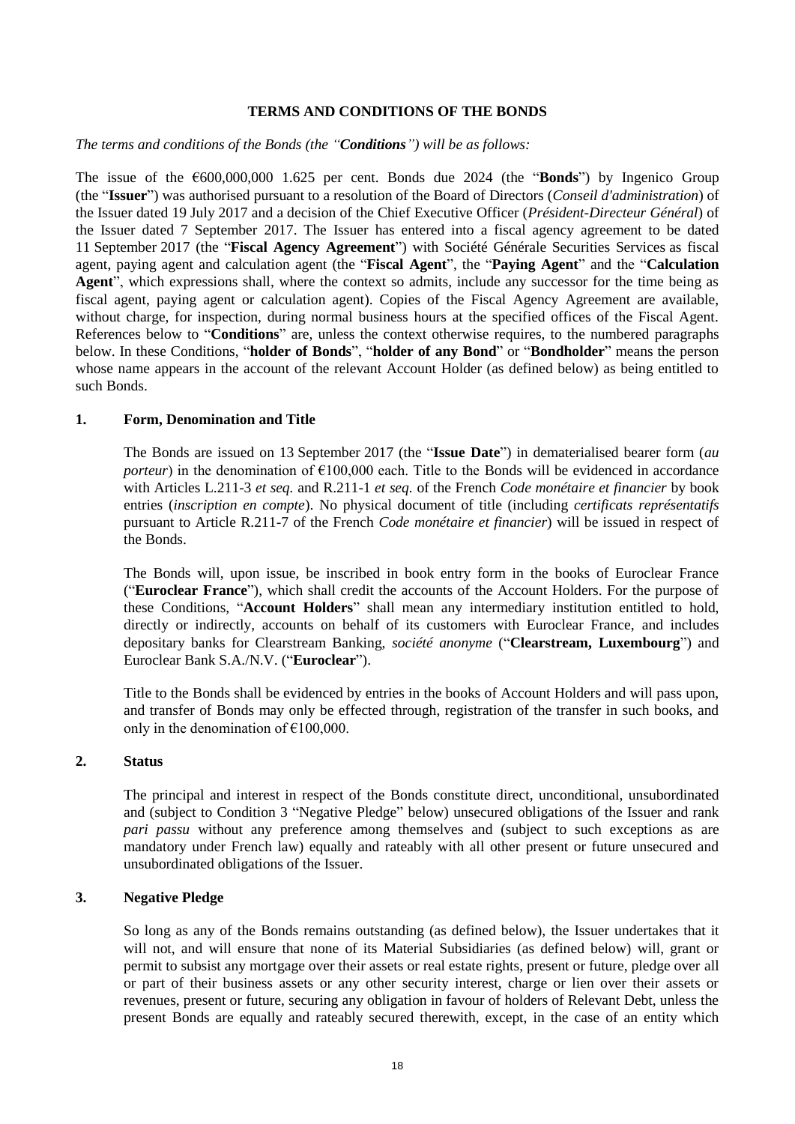#### **TERMS AND CONDITIONS OF THE BONDS**

#### *The terms and conditions of the Bonds (the "Conditions") will be as follows:*

The issue of the €600,000,000 1.625 per cent. Bonds due 2024 (the "**Bonds**") by Ingenico Group (the "**Issuer**") was authorised pursuant to a resolution of the Board of Directors (*Conseil d'administration*) of the Issuer dated 19 July 2017 and a decision of the Chief Executive Officer (*Président-Directeur Général*) of the Issuer dated 7 September 2017. The Issuer has entered into a fiscal agency agreement to be dated 11 September 2017 (the "**Fiscal Agency Agreement**") with Société Générale Securities Services as fiscal agent, paying agent and calculation agent (the "**Fiscal Agent**", the "**Paying Agent**" and the "**Calculation Agent**", which expressions shall, where the context so admits, include any successor for the time being as fiscal agent, paying agent or calculation agent). Copies of the Fiscal Agency Agreement are available, without charge, for inspection, during normal business hours at the specified offices of the Fiscal Agent. References below to "**Conditions**" are, unless the context otherwise requires, to the numbered paragraphs below. In these Conditions, "**holder of Bonds**", "**holder of any Bond**" or "**Bondholder**" means the person whose name appears in the account of the relevant Account Holder (as defined below) as being entitled to such Bonds.

# **1. Form, Denomination and Title**

The Bonds are issued on 13 September 2017 (the "**Issue Date**") in dematerialised bearer form (*au porteur*) in the denomination of  $E100,000$  each. Title to the Bonds will be evidenced in accordance with Articles L.211-3 *et seq.* and R.211-1 *et seq.* of the French *Code monétaire et financier* by book entries (*inscription en compte*). No physical document of title (including *certificats représentatifs* pursuant to Article R.211-7 of the French *Code monétaire et financier*) will be issued in respect of the Bonds.

The Bonds will, upon issue, be inscribed in book entry form in the books of Euroclear France ("**Euroclear France**"), which shall credit the accounts of the Account Holders. For the purpose of these Conditions, "**Account Holders**" shall mean any intermediary institution entitled to hold, directly or indirectly, accounts on behalf of its customers with Euroclear France, and includes depositary banks for Clearstream Banking, *société anonyme* ("**Clearstream, Luxembourg**") and Euroclear Bank S.A./N.V. ("**Euroclear**").

Title to the Bonds shall be evidenced by entries in the books of Account Holders and will pass upon, and transfer of Bonds may only be effected through, registration of the transfer in such books, and only in the denomination of  $£100,000$ .

# **2. Status**

The principal and interest in respect of the Bonds constitute direct, unconditional, unsubordinated and (subject to Condition [3](#page-17-0) ["Negative Pledge"](#page-17-0) below) unsecured obligations of the Issuer and rank *pari passu* without any preference among themselves and (subject to such exceptions as are mandatory under French law) equally and rateably with all other present or future unsecured and unsubordinated obligations of the Issuer.

# <span id="page-17-0"></span>**3. Negative Pledge**

So long as any of the Bonds remains outstanding (as defined below), the Issuer undertakes that it will not, and will ensure that none of its Material Subsidiaries (as defined below) will, grant or permit to subsist any mortgage over their assets or real estate rights, present or future, pledge over all or part of their business assets or any other security interest, charge or lien over their assets or revenues, present or future, securing any obligation in favour of holders of Relevant Debt, unless the present Bonds are equally and rateably secured therewith, except, in the case of an entity which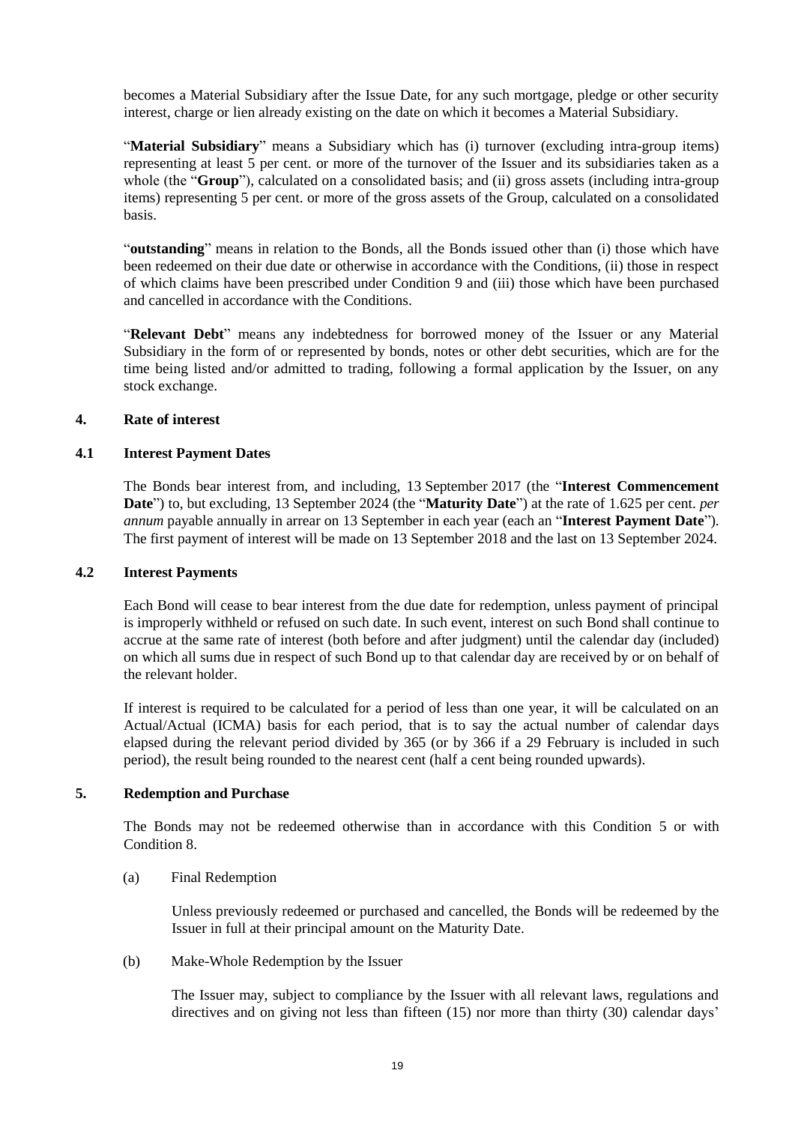becomes a Material Subsidiary after the Issue Date, for any such mortgage, pledge or other security interest, charge or lien already existing on the date on which it becomes a Material Subsidiary.

"**Material Subsidiary**" means a Subsidiary which has (i) turnover (excluding intra-group items) representing at least 5 per cent. or more of the turnover of the Issuer and its subsidiaries taken as a whole (the "**Group**"), calculated on a consolidated basis; and (ii) gross assets (including intra-group items) representing 5 per cent. or more of the gross assets of the Group, calculated on a consolidated basis.

"**outstanding**" means in relation to the Bonds, all the Bonds issued other than (i) those which have been redeemed on their due date or otherwise in accordance with the Conditions, (ii) those in respect of which claims have been prescribed under Condition [9](#page-24-0) and (iii) those which have been purchased and cancelled in accordance with the Conditions.

"**Relevant Debt**" means any indebtedness for borrowed money of the Issuer or any Material Subsidiary in the form of or represented by bonds, notes or other debt securities, which are for the time being listed and/or admitted to trading, following a formal application by the Issuer, on any stock exchange.

#### **4. Rate of interest**

# **4.1 Interest Payment Dates**

The Bonds bear interest from, and including, 13 September 2017 (the "**Interest Commencement Date**") to, but excluding, 13 September 2024 (the "**Maturity Date**") at the rate of 1.625 per cent. *per annum* payable annually in arrear on 13 September in each year (each an "**Interest Payment Date**"). The first payment of interest will be made on 13 September 2018 and the last on 13 September 2024.

#### **4.2 Interest Payments**

Each Bond will cease to bear interest from the due date for redemption, unless payment of principal is improperly withheld or refused on such date. In such event, interest on such Bond shall continue to accrue at the same rate of interest (both before and after judgment) until the calendar day (included) on which all sums due in respect of such Bond up to that calendar day are received by or on behalf of the relevant holder.

If interest is required to be calculated for a period of less than one year, it will be calculated on an Actual/Actual (ICMA) basis for each period, that is to say the actual number of calendar days elapsed during the relevant period divided by 365 (or by 366 if a 29 February is included in such period), the result being rounded to the nearest cent (half a cent being rounded upwards).

# <span id="page-18-0"></span>**5. Redemption and Purchase**

The Bonds may not be redeemed otherwise than in accordance with this Condition [5](#page-18-0) or with Condition [8.](#page-24-1)

(a) Final Redemption

Unless previously redeemed or purchased and cancelled, the Bonds will be redeemed by the Issuer in full at their principal amount on the Maturity Date.

(b) Make-Whole Redemption by the Issuer

The Issuer may, subject to compliance by the Issuer with all relevant laws, regulations and directives and on giving not less than fifteen (15) nor more than thirty (30) calendar days'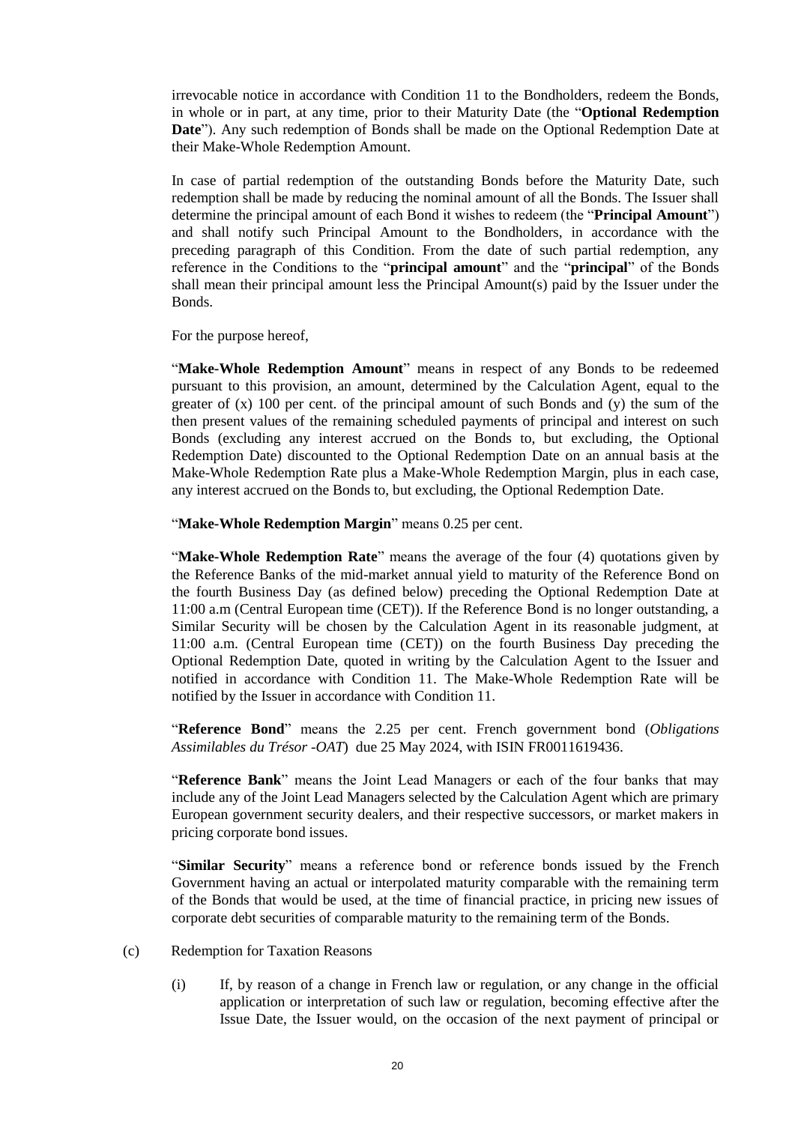irrevocable notice in accordance with Condition 11 to the Bondholders, redeem the Bonds, in whole or in part, at any time, prior to their Maturity Date (the "**Optional Redemption Date**"). Any such redemption of Bonds shall be made on the Optional Redemption Date at their Make-Whole Redemption Amount.

In case of partial redemption of the outstanding Bonds before the Maturity Date, such redemption shall be made by reducing the nominal amount of all the Bonds. The Issuer shall determine the principal amount of each Bond it wishes to redeem (the "**Principal Amount**") and shall notify such Principal Amount to the Bondholders, in accordance with the preceding paragraph of this Condition. From the date of such partial redemption, any reference in the Conditions to the "**principal amount**" and the "**principal**" of the Bonds shall mean their principal amount less the Principal Amount(s) paid by the Issuer under the Bonds.

For the purpose hereof,

"**Make-Whole Redemption Amount**" means in respect of any Bonds to be redeemed pursuant to this provision, an amount, determined by the Calculation Agent, equal to the greater of  $(x)$  100 per cent. of the principal amount of such Bonds and  $(y)$  the sum of the then present values of the remaining scheduled payments of principal and interest on such Bonds (excluding any interest accrued on the Bonds to, but excluding, the Optional Redemption Date) discounted to the Optional Redemption Date on an annual basis at the Make-Whole Redemption Rate plus a Make-Whole Redemption Margin, plus in each case, any interest accrued on the Bonds to, but excluding, the Optional Redemption Date.

"**Make-Whole Redemption Margin**" means 0.25 per cent.

"**Make-Whole Redemption Rate**" means the average of the four (4) quotations given by the Reference Banks of the mid-market annual yield to maturity of the Reference Bond on the fourth Business Day (as defined below) preceding the Optional Redemption Date at 11:00 a.m (Central European time (CET)). If the Reference Bond is no longer outstanding, a Similar Security will be chosen by the Calculation Agent in its reasonable judgment, at 11:00 a.m. (Central European time (CET)) on the fourth Business Day preceding the Optional Redemption Date, quoted in writing by the Calculation Agent to the Issuer and notified in accordance with Condition 11. The Make-Whole Redemption Rate will be notified by the Issuer in accordance with Condition 11.

"**Reference Bond**" means the 2.25 per cent. French government bond (*Obligations Assimilables du Trésor -OAT*) due 25 May 2024, with ISIN FR0011619436.

"**Reference Bank**" means the Joint Lead Managers or each of the four banks that may include any of the Joint Lead Managers selected by the Calculation Agent which are primary European government security dealers, and their respective successors, or market makers in pricing corporate bond issues.

"**Similar Security**" means a reference bond or reference bonds issued by the French Government having an actual or interpolated maturity comparable with the remaining term of the Bonds that would be used, at the time of financial practice, in pricing new issues of corporate debt securities of comparable maturity to the remaining term of the Bonds.

- (c) Redemption for Taxation Reasons
	- (i) If, by reason of a change in French law or regulation, or any change in the official application or interpretation of such law or regulation, becoming effective after the Issue Date, the Issuer would, on the occasion of the next payment of principal or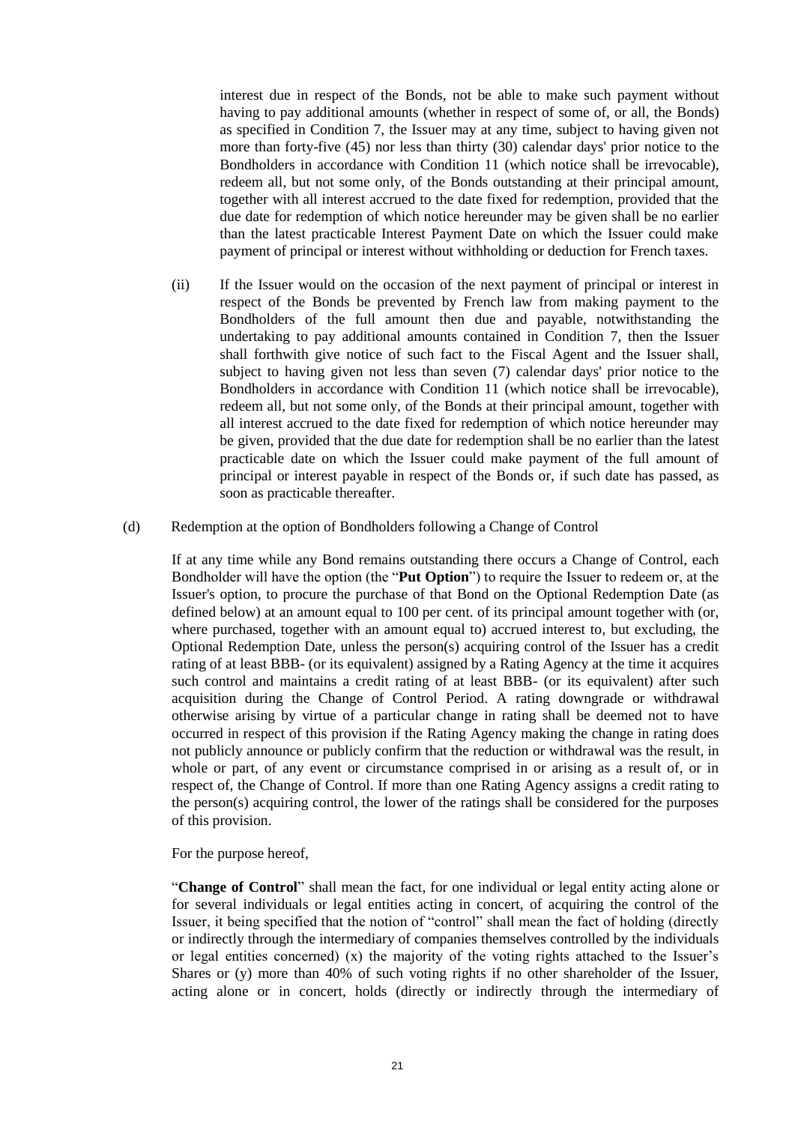interest due in respect of the Bonds, not be able to make such payment without having to pay additional amounts (whether in respect of some of, or all, the Bonds) as specified in Condition [7,](#page-23-0) the Issuer may at any time, subject to having given not more than forty-five (45) nor less than thirty (30) calendar days' prior notice to the Bondholders in accordance with Condition [11](#page-27-0) (which notice shall be irrevocable), redeem all, but not some only, of the Bonds outstanding at their principal amount, together with all interest accrued to the date fixed for redemption, provided that the due date for redemption of which notice hereunder may be given shall be no earlier than the latest practicable Interest Payment Date on which the Issuer could make payment of principal or interest without withholding or deduction for French taxes.

- (ii) If the Issuer would on the occasion of the next payment of principal or interest in respect of the Bonds be prevented by French law from making payment to the Bondholders of the full amount then due and payable, notwithstanding the undertaking to pay additional amounts contained in Condition [7,](#page-23-0) then the Issuer shall forthwith give notice of such fact to the Fiscal Agent and the Issuer shall, subject to having given not less than seven (7) calendar days' prior notice to the Bondholders in accordance with Condition [11](#page-27-0) (which notice shall be irrevocable), redeem all, but not some only, of the Bonds at their principal amount, together with all interest accrued to the date fixed for redemption of which notice hereunder may be given, provided that the due date for redemption shall be no earlier than the latest practicable date on which the Issuer could make payment of the full amount of principal or interest payable in respect of the Bonds or, if such date has passed, as soon as practicable thereafter.
- <span id="page-20-0"></span>(d) Redemption at the option of Bondholders following a Change of Control

If at any time while any Bond remains outstanding there occurs a Change of Control, each Bondholder will have the option (the "**Put Option**") to require the Issuer to redeem or, at the Issuer's option, to procure the purchase of that Bond on the Optional Redemption Date (as defined below) at an amount equal to 100 per cent. of its principal amount together with (or, where purchased, together with an amount equal to) accrued interest to, but excluding, the Optional Redemption Date, unless the person(s) acquiring control of the Issuer has a credit rating of at least BBB- (or its equivalent) assigned by a Rating Agency at the time it acquires such control and maintains a credit rating of at least BBB- (or its equivalent) after such acquisition during the Change of Control Period. A rating downgrade or withdrawal otherwise arising by virtue of a particular change in rating shall be deemed not to have occurred in respect of this provision if the Rating Agency making the change in rating does not publicly announce or publicly confirm that the reduction or withdrawal was the result, in whole or part, of any event or circumstance comprised in or arising as a result of, or in respect of, the Change of Control. If more than one Rating Agency assigns a credit rating to the person(s) acquiring control, the lower of the ratings shall be considered for the purposes of this provision.

For the purpose hereof,

"**Change of Control**" shall mean the fact, for one individual or legal entity acting alone or for several individuals or legal entities acting in concert, of acquiring the control of the Issuer, it being specified that the notion of "control" shall mean the fact of holding (directly or indirectly through the intermediary of companies themselves controlled by the individuals or legal entities concerned) (x) the majority of the voting rights attached to the Issuer's Shares or (y) more than 40% of such voting rights if no other shareholder of the Issuer, acting alone or in concert, holds (directly or indirectly through the intermediary of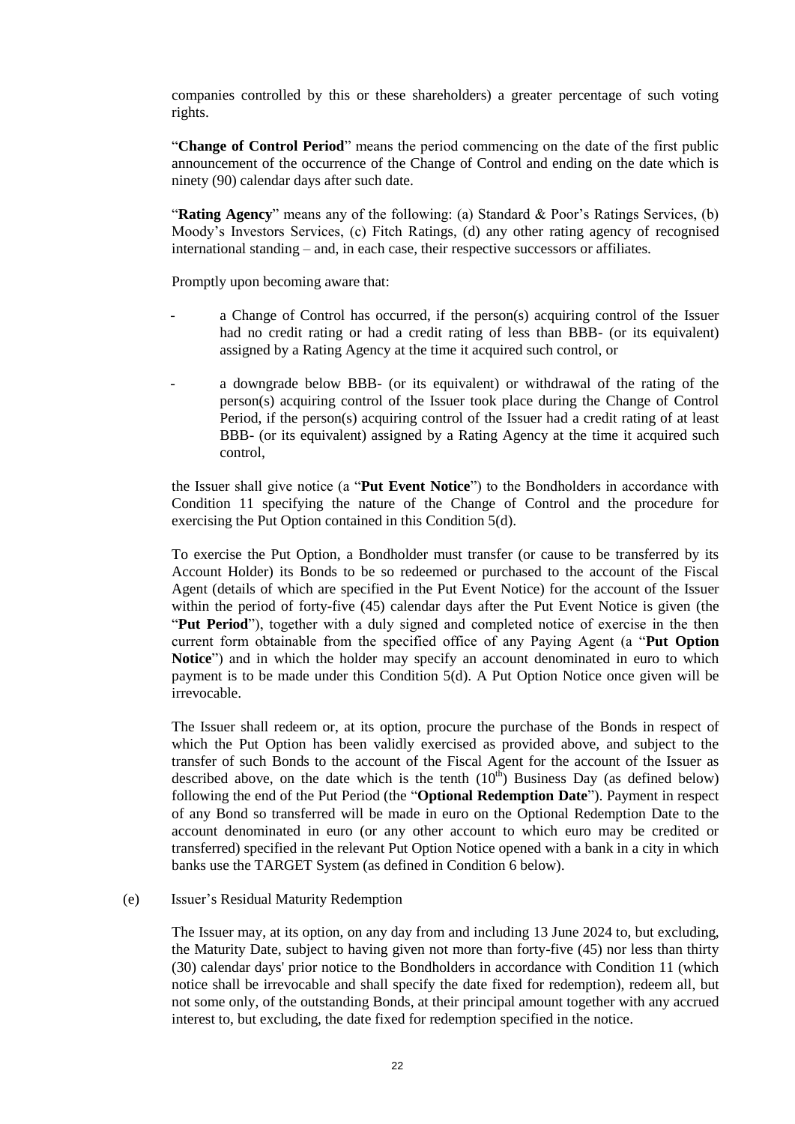companies controlled by this or these shareholders) a greater percentage of such voting rights.

"**Change of Control Period**" means the period commencing on the date of the first public announcement of the occurrence of the Change of Control and ending on the date which is ninety (90) calendar days after such date.

"**Rating Agency**" means any of the following: (a) Standard & Poor's Ratings Services, (b) Moody's Investors Services, (c) Fitch Ratings, (d) any other rating agency of recognised international standing – and, in each case, their respective successors or affiliates.

Promptly upon becoming aware that:

- a Change of Control has occurred, if the person(s) acquiring control of the Issuer had no credit rating or had a credit rating of less than BBB- (or its equivalent) assigned by a Rating Agency at the time it acquired such control, or
- a downgrade below BBB- (or its equivalent) or withdrawal of the rating of the person(s) acquiring control of the Issuer took place during the Change of Control Period, if the person(s) acquiring control of the Issuer had a credit rating of at least BBB- (or its equivalent) assigned by a Rating Agency at the time it acquired such control,

the Issuer shall give notice (a "**Put Event Notice**") to the Bondholders in accordance with Condition 11 specifying the nature of the Change of Control and the procedure for exercising the Put Option contained in this Condition 5(d).

To exercise the Put Option, a Bondholder must transfer (or cause to be transferred by its Account Holder) its Bonds to be so redeemed or purchased to the account of the Fiscal Agent (details of which are specified in the Put Event Notice) for the account of the Issuer within the period of forty-five (45) calendar days after the Put Event Notice is given (the "**Put Period**"), together with a duly signed and completed notice of exercise in the then current form obtainable from the specified office of any Paying Agent (a "**Put Option Notice**") and in which the holder may specify an account denominated in euro to which payment is to be made under this Condition [5\(d\).](#page-20-0) A Put Option Notice once given will be irrevocable.

The Issuer shall redeem or, at its option, procure the purchase of the Bonds in respect of which the Put Option has been validly exercised as provided above, and subject to the transfer of such Bonds to the account of the Fiscal Agent for the account of the Issuer as described above, on the date which is the tenth  $(10<sup>th</sup>)$  Business Day (as defined below) following the end of the Put Period (the "**Optional Redemption Date**"). Payment in respect of any Bond so transferred will be made in euro on the Optional Redemption Date to the account denominated in euro (or any other account to which euro may be credited or transferred) specified in the relevant Put Option Notice opened with a bank in a city in which banks use the TARGET System (as defined in Condition 6 below).

#### (e) Issuer's Residual Maturity Redemption

The Issuer may, at its option, on any day from and including 13 June 2024 to, but excluding, the Maturity Date, subject to having given not more than forty-five (45) nor less than thirty (30) calendar days' prior notice to the Bondholders in accordance with Condition 11 (which notice shall be irrevocable and shall specify the date fixed for redemption), redeem all, but not some only, of the outstanding Bonds, at their principal amount together with any accrued interest to, but excluding, the date fixed for redemption specified in the notice.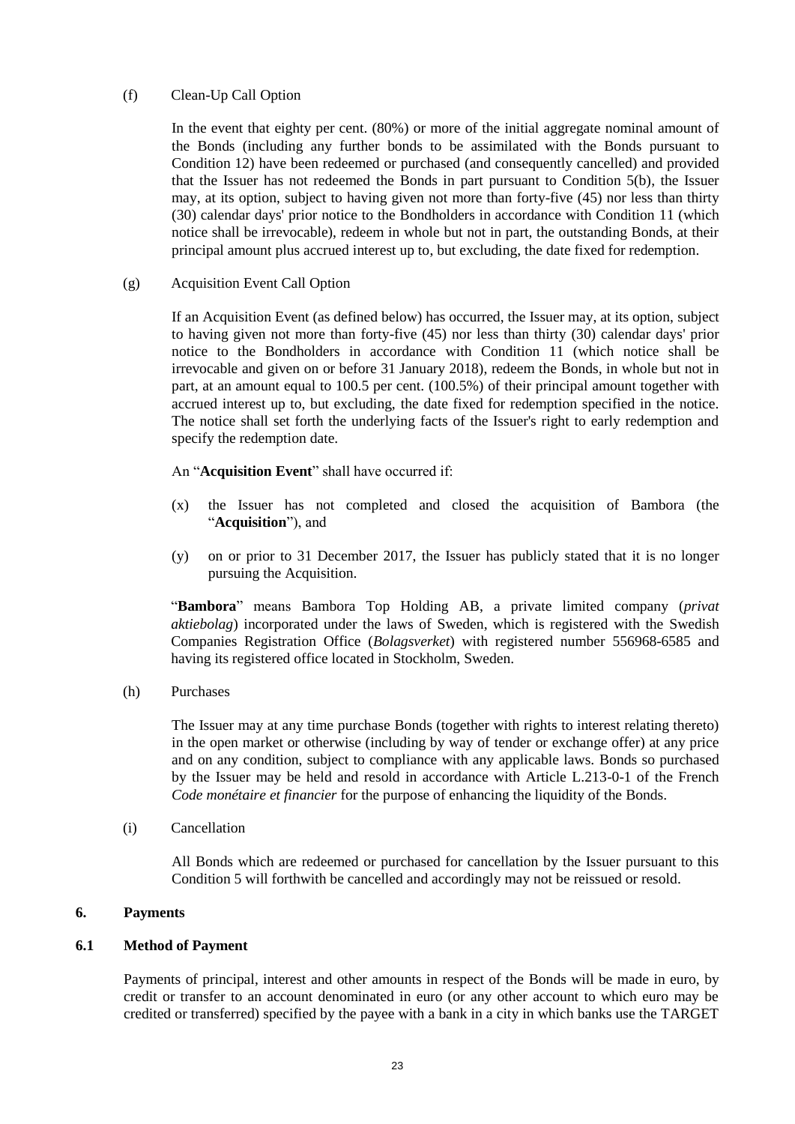# (f) Clean-Up Call Option

In the event that eighty per cent. (80%) or more of the initial aggregate nominal amount of the Bonds (including any further bonds to be assimilated with the Bonds pursuant to Condition 12) have been redeemed or purchased (and consequently cancelled) and provided that the Issuer has not redeemed the Bonds in part pursuant to Condition 5(b), the Issuer may, at its option, subject to having given not more than forty-five (45) nor less than thirty (30) calendar days' prior notice to the Bondholders in accordance with Condition 11 (which notice shall be irrevocable), redeem in whole but not in part, the outstanding Bonds, at their principal amount plus accrued interest up to, but excluding, the date fixed for redemption.

# (g) Acquisition Event Call Option

If an Acquisition Event (as defined below) has occurred, the Issuer may, at its option, subject to having given not more than forty-five (45) nor less than thirty (30) calendar days' prior notice to the Bondholders in accordance with Condition 11 (which notice shall be irrevocable and given on or before 31 January 2018), redeem the Bonds, in whole but not in part, at an amount equal to 100.5 per cent. (100.5%) of their principal amount together with accrued interest up to, but excluding, the date fixed for redemption specified in the notice. The notice shall set forth the underlying facts of the Issuer's right to early redemption and specify the redemption date.

# An "**Acquisition Event**" shall have occurred if:

- (x) the Issuer has not completed and closed the acquisition of Bambora (the "**Acquisition**"), and
- (y) on or prior to 31 December 2017, the Issuer has publicly stated that it is no longer pursuing the Acquisition.

"**Bambora**" means Bambora Top Holding AB, a private limited company (*privat aktiebolag*) incorporated under the laws of Sweden, which is registered with the Swedish Companies Registration Office (*Bolagsverket*) with registered number 556968-6585 and having its registered office located in Stockholm, Sweden.

(h) Purchases

The Issuer may at any time purchase Bonds (together with rights to interest relating thereto) in the open market or otherwise (including by way of tender or exchange offer) at any price and on any condition, subject to compliance with any applicable laws. Bonds so purchased by the Issuer may be held and resold in accordance with Article L.213-0-1 of the French *Code monétaire et financier* for the purpose of enhancing the liquidity of the Bonds.

(i) Cancellation

All Bonds which are redeemed or purchased for cancellation by the Issuer pursuant to this Condition [5](#page-18-0) will forthwith be cancelled and accordingly may not be reissued or resold.

# **6. Payments**

# **6.1 Method of Payment**

Payments of principal, interest and other amounts in respect of the Bonds will be made in euro, by credit or transfer to an account denominated in euro (or any other account to which euro may be credited or transferred) specified by the payee with a bank in a city in which banks use the TARGET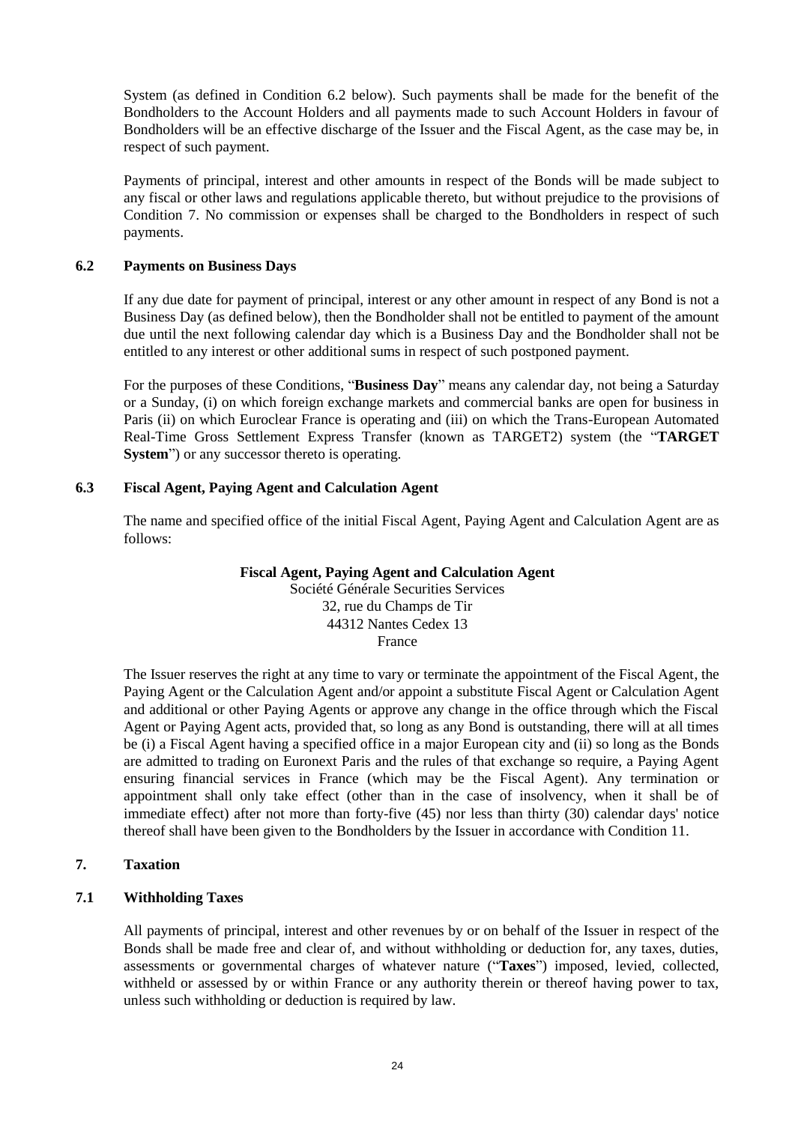System (as defined in Condition 6.2 below). Such payments shall be made for the benefit of the Bondholders to the Account Holders and all payments made to such Account Holders in favour of Bondholders will be an effective discharge of the Issuer and the Fiscal Agent, as the case may be, in respect of such payment.

Payments of principal, interest and other amounts in respect of the Bonds will be made subject to any fiscal or other laws and regulations applicable thereto, but without prejudice to the provisions of Condition [7.](#page-23-0) No commission or expenses shall be charged to the Bondholders in respect of such payments.

#### **6.2 Payments on Business Days**

If any due date for payment of principal, interest or any other amount in respect of any Bond is not a Business Day (as defined below), then the Bondholder shall not be entitled to payment of the amount due until the next following calendar day which is a Business Day and the Bondholder shall not be entitled to any interest or other additional sums in respect of such postponed payment.

For the purposes of these Conditions, "**Business Day**" means any calendar day, not being a Saturday or a Sunday, (i) on which foreign exchange markets and commercial banks are open for business in Paris (ii) on which Euroclear France is operating and (iii) on which the Trans-European Automated Real-Time Gross Settlement Express Transfer (known as TARGET2) system (the "**TARGET System**") or any successor thereto is operating.

# **6.3 Fiscal Agent, Paying Agent and Calculation Agent**

The name and specified office of the initial Fiscal Agent, Paying Agent and Calculation Agent are as follows:

# **Fiscal Agent, Paying Agent and Calculation Agent**

Société Générale Securities Services 32, rue du Champs de Tir 44312 Nantes Cedex 13 France

The Issuer reserves the right at any time to vary or terminate the appointment of the Fiscal Agent, the Paying Agent or the Calculation Agent and/or appoint a substitute Fiscal Agent or Calculation Agent and additional or other Paying Agents or approve any change in the office through which the Fiscal Agent or Paying Agent acts, provided that, so long as any Bond is outstanding, there will at all times be (i) a Fiscal Agent having a specified office in a major European city and (ii) so long as the Bonds are admitted to trading on Euronext Paris and the rules of that exchange so require, a Paying Agent ensuring financial services in France (which may be the Fiscal Agent). Any termination or appointment shall only take effect (other than in the case of insolvency, when it shall be of immediate effect) after not more than forty-five (45) nor less than thirty (30) calendar days' notice thereof shall have been given to the Bondholders by the Issuer in accordance with Condition [11.](#page-27-0)

# <span id="page-23-0"></span>**7. Taxation**

# **7.1 Withholding Taxes**

All payments of principal, interest and other revenues by or on behalf of the Issuer in respect of the Bonds shall be made free and clear of, and without withholding or deduction for, any taxes, duties, assessments or governmental charges of whatever nature ("**Taxes**") imposed, levied, collected, withheld or assessed by or within France or any authority therein or thereof having power to tax, unless such withholding or deduction is required by law.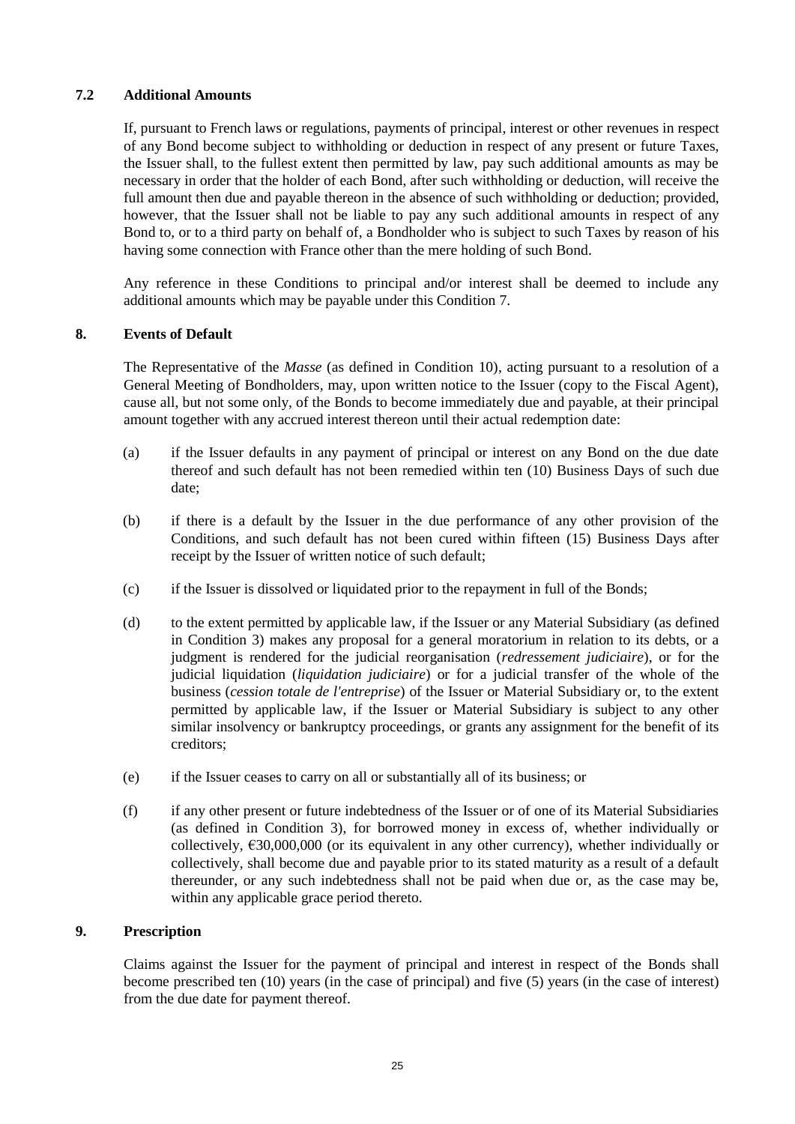# **7.2 Additional Amounts**

If, pursuant to French laws or regulations, payments of principal, interest or other revenues in respect of any Bond become subject to withholding or deduction in respect of any present or future Taxes, the Issuer shall, to the fullest extent then permitted by law, pay such additional amounts as may be necessary in order that the holder of each Bond, after such withholding or deduction, will receive the full amount then due and payable thereon in the absence of such withholding or deduction; provided, however, that the Issuer shall not be liable to pay any such additional amounts in respect of any Bond to, or to a third party on behalf of, a Bondholder who is subject to such Taxes by reason of his having some connection with France other than the mere holding of such Bond.

Any reference in these Conditions to principal and/or interest shall be deemed to include any additional amounts which may be payable under this Condition [7.](#page-23-0)

# <span id="page-24-1"></span>**8. Events of Default**

The Representative of the *Masse* (as defined in Condition 10), acting pursuant to a resolution of a General Meeting of Bondholders, may, upon written notice to the Issuer (copy to the Fiscal Agent), cause all, but not some only, of the Bonds to become immediately due and payable, at their principal amount together with any accrued interest thereon until their actual redemption date:

- (a) if the Issuer defaults in any payment of principal or interest on any Bond on the due date thereof and such default has not been remedied within ten (10) Business Days of such due date;
- (b) if there is a default by the Issuer in the due performance of any other provision of the Conditions, and such default has not been cured within fifteen (15) Business Days after receipt by the Issuer of written notice of such default;
- (c) if the Issuer is dissolved or liquidated prior to the repayment in full of the Bonds;
- (d) to the extent permitted by applicable law, if the Issuer or any Material Subsidiary (as defined in Condition 3) makes any proposal for a general moratorium in relation to its debts, or a judgment is rendered for the judicial reorganisation (*redressement judiciaire*), or for the judicial liquidation (*liquidation judiciaire*) or for a judicial transfer of the whole of the business (*cession totale de l'entreprise*) of the Issuer or Material Subsidiary or, to the extent permitted by applicable law, if the Issuer or Material Subsidiary is subject to any other similar insolvency or bankruptcy proceedings, or grants any assignment for the benefit of its creditors;
- (e) if the Issuer ceases to carry on all or substantially all of its business; or
- (f) if any other present or future indebtedness of the Issuer or of one of its Material Subsidiaries (as defined in Condition 3), for borrowed money in excess of, whether individually or collectively,  $\epsilon$ 30,000,000 (or its equivalent in any other currency), whether individually or collectively, shall become due and payable prior to its stated maturity as a result of a default thereunder, or any such indebtedness shall not be paid when due or, as the case may be, within any applicable grace period thereto.

# <span id="page-24-0"></span>**9. Prescription**

Claims against the Issuer for the payment of principal and interest in respect of the Bonds shall become prescribed ten (10) years (in the case of principal) and five (5) years (in the case of interest) from the due date for payment thereof.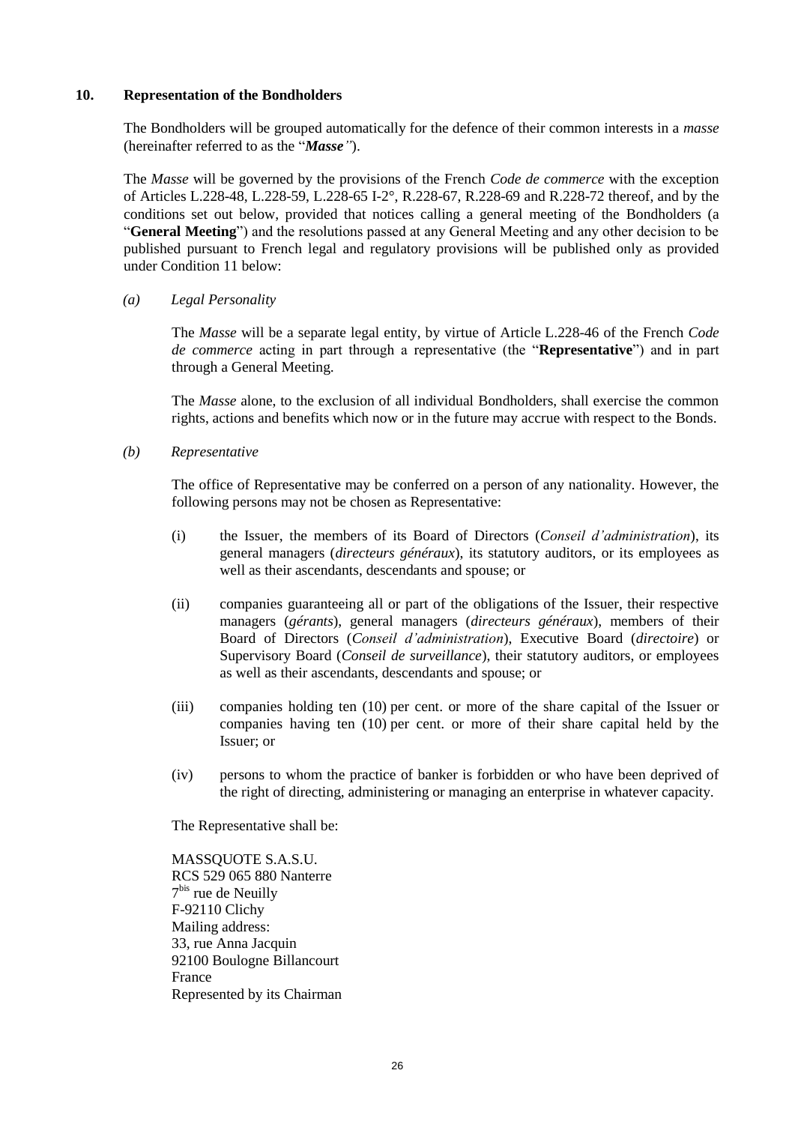#### **10. Representation of the Bondholders**

The Bondholders will be grouped automatically for the defence of their common interests in a *masse* (hereinafter referred to as the "*Masse"*).

The *Masse* will be governed by the provisions of the French *Code de commerce* with the exception of Articles L.228-48, L.228-59, L.228-65 I-2°, R.228-67, R.228-69 and R.228-72 thereof, and by the conditions set out below, provided that notices calling a general meeting of the Bondholders (a "**General Meeting**") and the resolutions passed at any General Meeting and any other decision to be published pursuant to French legal and regulatory provisions will be published only as provided under Condition 11 below:

# *(a) Legal Personality*

The *Masse* will be a separate legal entity, by virtue of Article L.228-46 of the French *Code de commerce* acting in part through a representative (the "**Representative**") and in part through a General Meeting.

The *Masse* alone, to the exclusion of all individual Bondholders, shall exercise the common rights, actions and benefits which now or in the future may accrue with respect to the Bonds.

*(b) Representative*

The office of Representative may be conferred on a person of any nationality. However, the following persons may not be chosen as Representative:

- (i) the Issuer, the members of its Board of Directors (*Conseil d'administration*), its general managers (*directeurs généraux*), its statutory auditors, or its employees as well as their ascendants, descendants and spouse; or
- (ii) companies guaranteeing all or part of the obligations of the Issuer, their respective managers (*gérants*), general managers (*directeurs généraux*), members of their Board of Directors (*Conseil d'administration*), Executive Board (*directoire*) or Supervisory Board (*Conseil de surveillance*), their statutory auditors, or employees as well as their ascendants, descendants and spouse; or
- (iii) companies holding ten (10) per cent. or more of the share capital of the Issuer or companies having ten (10) per cent. or more of their share capital held by the Issuer; or
- (iv) persons to whom the practice of banker is forbidden or who have been deprived of the right of directing, administering or managing an enterprise in whatever capacity.

The Representative shall be:

MASSQUOTE S.A.S.U. RCS 529 065 880 Nanterre 7 bis rue de Neuilly F-92110 Clichy Mailing address: 33, rue Anna Jacquin 92100 Boulogne Billancourt France Represented by its Chairman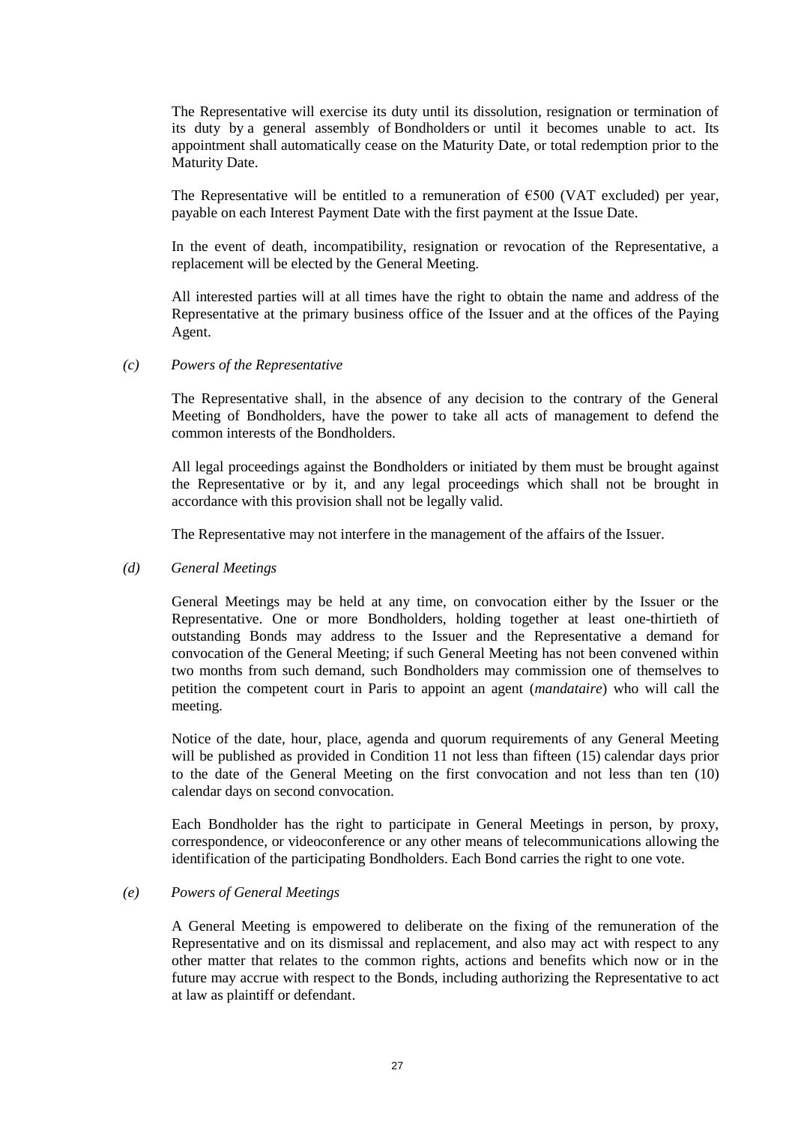The Representative will exercise its duty until its dissolution, resignation or termination of its duty by a general assembly of Bondholders or until it becomes unable to act. Its appointment shall automatically cease on the Maturity Date, or total redemption prior to the Maturity Date.

The Representative will be entitled to a remuneration of  $\epsilon$ 500 (VAT excluded) per year, payable on each Interest Payment Date with the first payment at the Issue Date.

In the event of death, incompatibility, resignation or revocation of the Representative, a replacement will be elected by the General Meeting.

All interested parties will at all times have the right to obtain the name and address of the Representative at the primary business office of the Issuer and at the offices of the Paying Agent.

#### *(c) Powers of the Representative*

The Representative shall, in the absence of any decision to the contrary of the General Meeting of Bondholders, have the power to take all acts of management to defend the common interests of the Bondholders.

All legal proceedings against the Bondholders or initiated by them must be brought against the Representative or by it, and any legal proceedings which shall not be brought in accordance with this provision shall not be legally valid.

The Representative may not interfere in the management of the affairs of the Issuer.

#### *(d) General Meetings*

General Meetings may be held at any time, on convocation either by the Issuer or the Representative. One or more Bondholders, holding together at least one-thirtieth of outstanding Bonds may address to the Issuer and the Representative a demand for convocation of the General Meeting; if such General Meeting has not been convened within two months from such demand, such Bondholders may commission one of themselves to petition the competent court in Paris to appoint an agent (*mandataire*) who will call the meeting.

Notice of the date, hour, place, agenda and quorum requirements of any General Meeting will be published as provided in Condition 11 not less than fifteen (15) calendar days prior to the date of the General Meeting on the first convocation and not less than ten (10) calendar days on second convocation.

Each Bondholder has the right to participate in General Meetings in person, by proxy, correspondence, or videoconference or any other means of telecommunications allowing the identification of the participating Bondholders. Each Bond carries the right to one vote.

#### *(e) Powers of General Meetings*

A General Meeting is empowered to deliberate on the fixing of the remuneration of the Representative and on its dismissal and replacement, and also may act with respect to any other matter that relates to the common rights, actions and benefits which now or in the future may accrue with respect to the Bonds, including authorizing the Representative to act at law as plaintiff or defendant.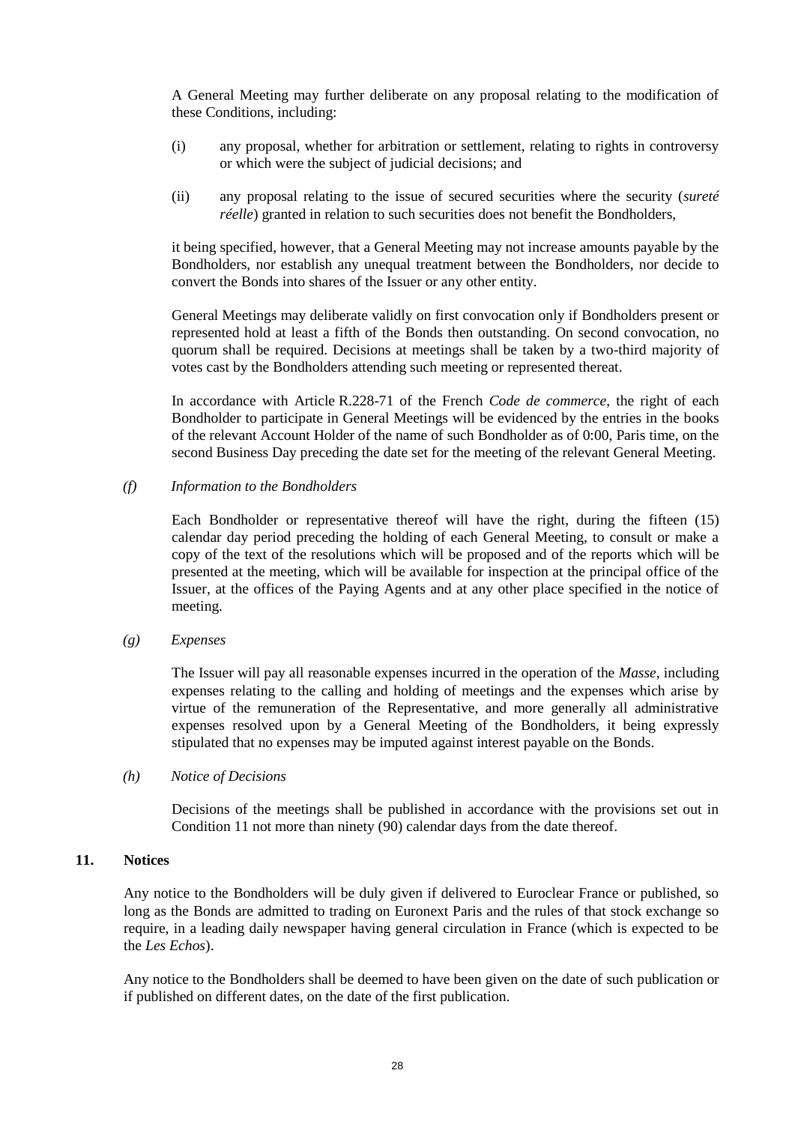A General Meeting may further deliberate on any proposal relating to the modification of these Conditions, including:

- (i) any proposal, whether for arbitration or settlement, relating to rights in controversy or which were the subject of judicial decisions; and
- (ii) any proposal relating to the issue of secured securities where the security (*sureté réelle*) granted in relation to such securities does not benefit the Bondholders,

it being specified, however, that a General Meeting may not increase amounts payable by the Bondholders, nor establish any unequal treatment between the Bondholders, nor decide to convert the Bonds into shares of the Issuer or any other entity.

General Meetings may deliberate validly on first convocation only if Bondholders present or represented hold at least a fifth of the Bonds then outstanding. On second convocation, no quorum shall be required. Decisions at meetings shall be taken by a two-third majority of votes cast by the Bondholders attending such meeting or represented thereat.

In accordance with Article R.228-71 of the French *Code de commerce*, the right of each Bondholder to participate in General Meetings will be evidenced by the entries in the books of the relevant Account Holder of the name of such Bondholder as of 0:00, Paris time, on the second Business Day preceding the date set for the meeting of the relevant General Meeting.

# *(f) Information to the Bondholders*

Each Bondholder or representative thereof will have the right, during the fifteen (15) calendar day period preceding the holding of each General Meeting, to consult or make a copy of the text of the resolutions which will be proposed and of the reports which will be presented at the meeting, which will be available for inspection at the principal office of the Issuer, at the offices of the Paying Agents and at any other place specified in the notice of meeting.

# *(g) Expenses*

The Issuer will pay all reasonable expenses incurred in the operation of the *Masse*, including expenses relating to the calling and holding of meetings and the expenses which arise by virtue of the remuneration of the Representative, and more generally all administrative expenses resolved upon by a General Meeting of the Bondholders, it being expressly stipulated that no expenses may be imputed against interest payable on the Bonds.

#### *(h) Notice of Decisions*

Decisions of the meetings shall be published in accordance with the provisions set out in Condition 11 not more than ninety (90) calendar days from the date thereof.

# <span id="page-27-0"></span>**11. Notices**

Any notice to the Bondholders will be duly given if delivered to Euroclear France or published, so long as the Bonds are admitted to trading on Euronext Paris and the rules of that stock exchange so require, in a leading daily newspaper having general circulation in France (which is expected to be the *Les Echos*).

Any notice to the Bondholders shall be deemed to have been given on the date of such publication or if published on different dates, on the date of the first publication.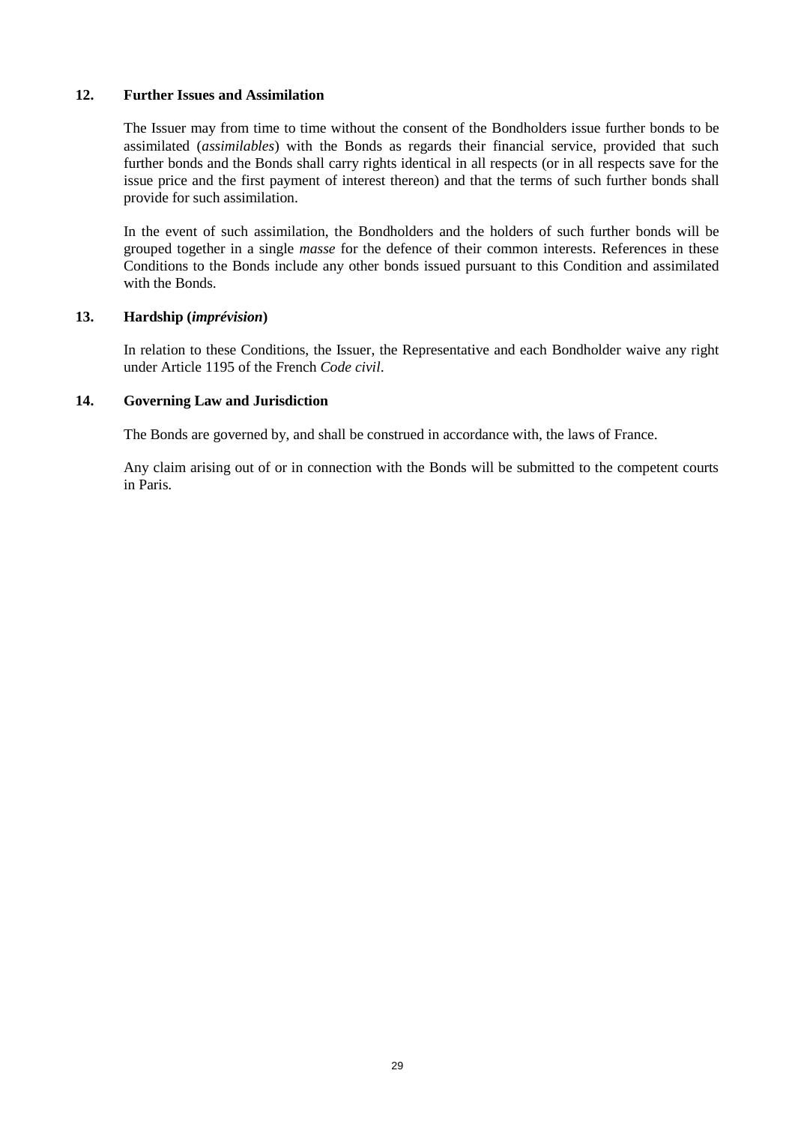# **12. Further Issues and Assimilation**

The Issuer may from time to time without the consent of the Bondholders issue further bonds to be assimilated (*assimilables*) with the Bonds as regards their financial service, provided that such further bonds and the Bonds shall carry rights identical in all respects (or in all respects save for the issue price and the first payment of interest thereon) and that the terms of such further bonds shall provide for such assimilation.

In the event of such assimilation, the Bondholders and the holders of such further bonds will be grouped together in a single *masse* for the defence of their common interests. References in these Conditions to the Bonds include any other bonds issued pursuant to this Condition and assimilated with the Bonds.

#### **13. Hardship (***imprévision***)**

In relation to these Conditions, the Issuer, the Representative and each Bondholder waive any right under Article 1195 of the French *Code civil*.

#### **14. Governing Law and Jurisdiction**

The Bonds are governed by, and shall be construed in accordance with, the laws of France.

Any claim arising out of or in connection with the Bonds will be submitted to the competent courts in Paris.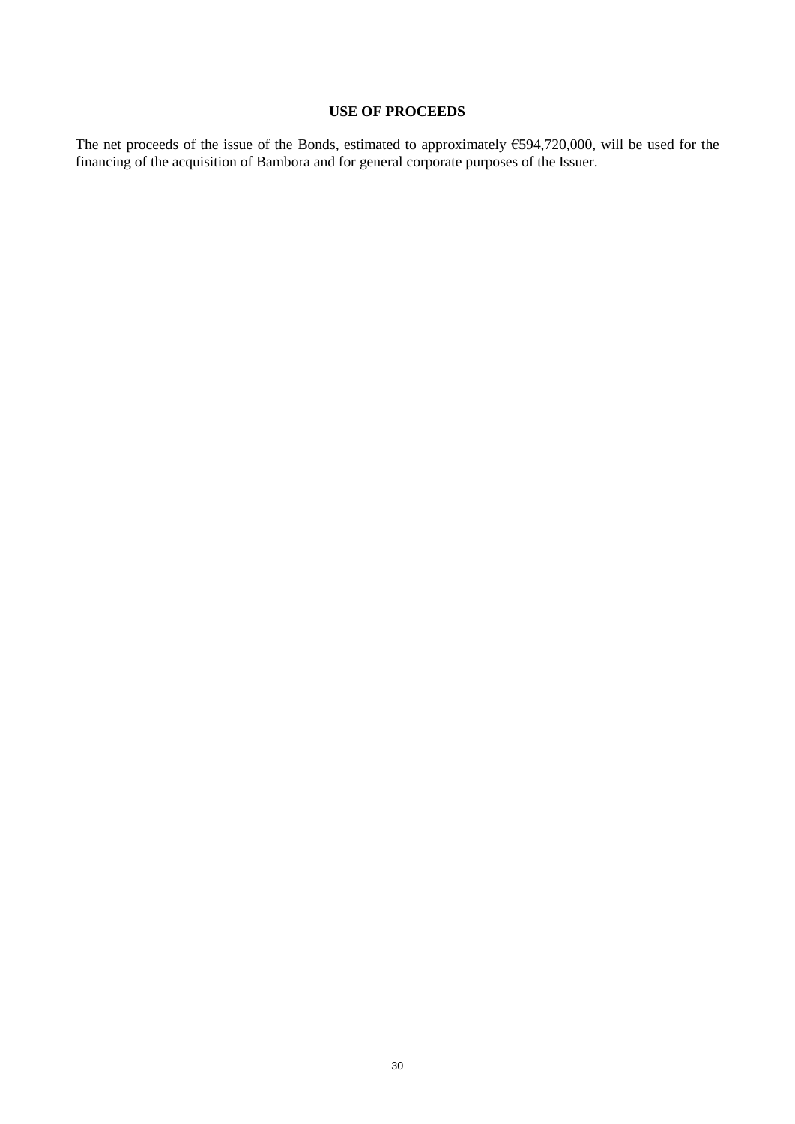# **USE OF PROCEEDS**

The net proceeds of the issue of the Bonds, estimated to approximately  $€594,720,000$ , will be used for the financing of the acquisition of Bambora and for general corporate purposes of the Issuer.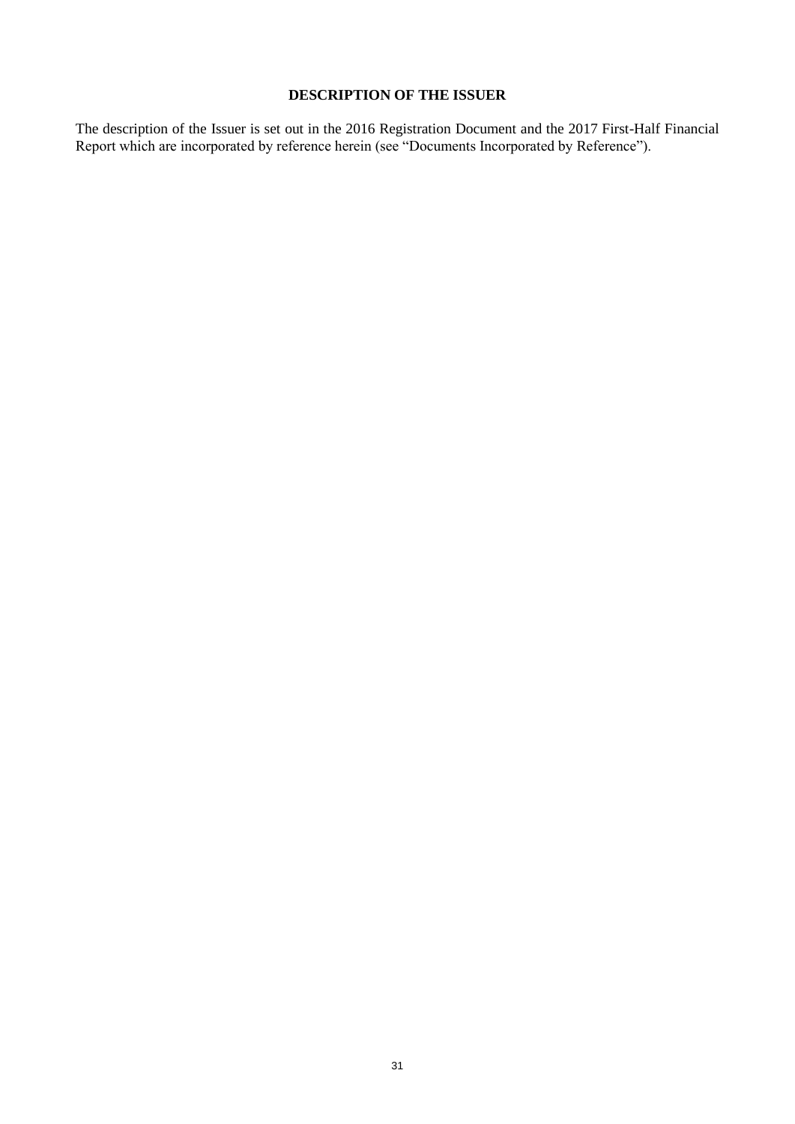# **DESCRIPTION OF THE ISSUER**

The description of the Issuer is set out in the 2016 Registration Document and the 2017 First-Half Financial Report which are incorporated by reference herein (see "Documents Incorporated by Reference").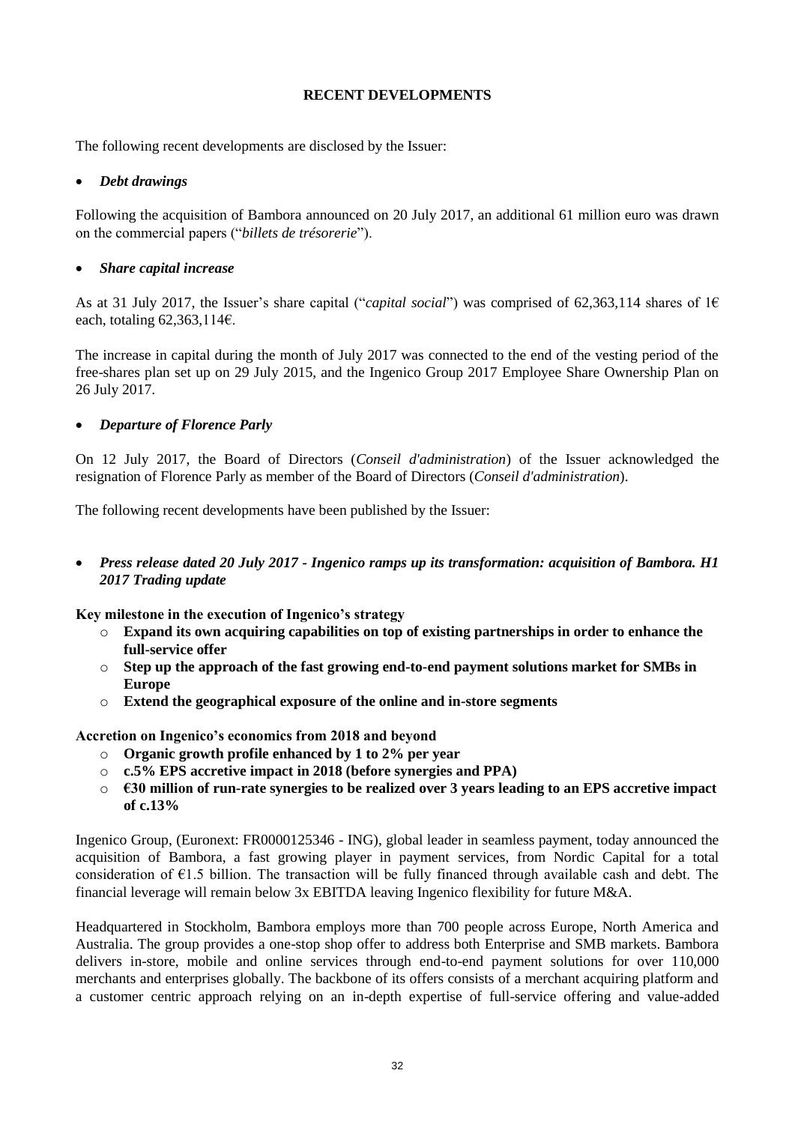# **RECENT DEVELOPMENTS**

The following recent developments are disclosed by the Issuer:

# *Debt drawings*

Following the acquisition of Bambora announced on 20 July 2017, an additional 61 million euro was drawn on the commercial papers ("*billets de trésorerie*").

# *Share capital increase*

As at 31 July 2017, the Issuer's share capital ("*capital social*") was comprised of 62,363,114 shares of 1€ each, totaling  $62,363,114$ €.

The increase in capital during the month of July 2017 was connected to the end of the vesting period of the free-shares plan set up on 29 July 2015, and the Ingenico Group 2017 Employee Share Ownership Plan on 26 July 2017.

# *Departure of Florence Parly*

On 12 July 2017, the Board of Directors (*Conseil d'administration*) of the Issuer acknowledged the resignation of Florence Parly as member of the Board of Directors (*Conseil d'administration*).

The following recent developments have been published by the Issuer:

 *Press release dated 20 July 2017 - Ingenico ramps up its transformation: acquisition of Bambora. H1 2017 Trading update*

**Key milestone in the execution of Ingenico's strategy**

- o **Expand its own acquiring capabilities on top of existing partnerships in order to enhance the full-service offer**
- o **Step up the approach of the fast growing end-to-end payment solutions market for SMBs in Europe**
- o **Extend the geographical exposure of the online and in-store segments**

**Accretion on Ingenico's economics from 2018 and beyond**

- o **Organic growth profile enhanced by 1 to 2% per year**
- o **c.5% EPS accretive impact in 2018 (before synergies and PPA)**
- o **€30 million of run-rate synergies to be realized over 3 years leading to an EPS accretive impact of c.13%**

Ingenico Group, (Euronext: FR0000125346 - ING), global leader in seamless payment, today announced the acquisition of Bambora, a fast growing player in payment services, from Nordic Capital for a total consideration of  $E1.5$  billion. The transaction will be fully financed through available cash and debt. The financial leverage will remain below 3x EBITDA leaving Ingenico flexibility for future M&A.

Headquartered in Stockholm, Bambora employs more than 700 people across Europe, North America and Australia. The group provides a one-stop shop offer to address both Enterprise and SMB markets. Bambora delivers in-store, mobile and online services through end-to-end payment solutions for over 110,000 merchants and enterprises globally. The backbone of its offers consists of a merchant acquiring platform and a customer centric approach relying on an in-depth expertise of full-service offering and value-added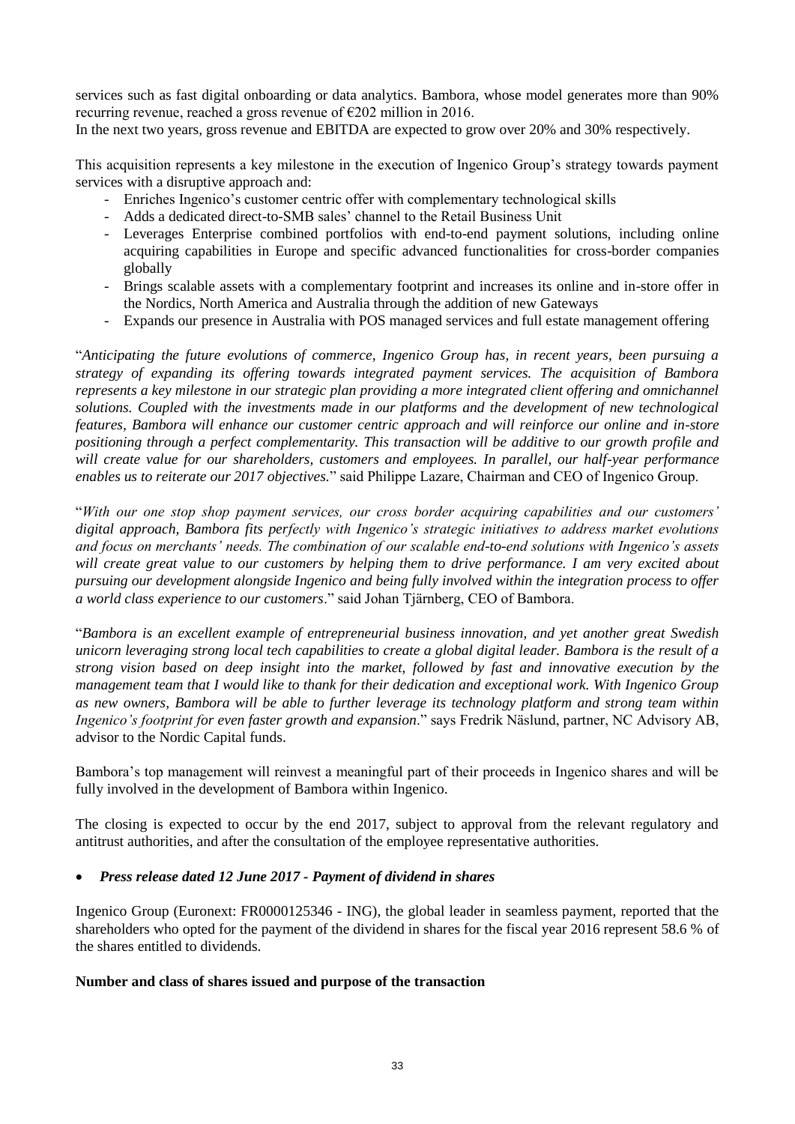services such as fast digital onboarding or data analytics. Bambora, whose model generates more than 90% recurring revenue, reached a gross revenue of €202 million in 2016.

In the next two years, gross revenue and EBITDA are expected to grow over 20% and 30% respectively.

This acquisition represents a key milestone in the execution of Ingenico Group's strategy towards payment services with a disruptive approach and:

- Enriches Ingenico's customer centric offer with complementary technological skills
- Adds a dedicated direct-to-SMB sales' channel to the Retail Business Unit
- Leverages Enterprise combined portfolios with end-to-end payment solutions, including online acquiring capabilities in Europe and specific advanced functionalities for cross-border companies globally
- Brings scalable assets with a complementary footprint and increases its online and in-store offer in the Nordics, North America and Australia through the addition of new Gateways
- Expands our presence in Australia with POS managed services and full estate management offering

"*Anticipating the future evolutions of commerce, Ingenico Group has, in recent years, been pursuing a strategy of expanding its offering towards integrated payment services. The acquisition of Bambora represents a key milestone in our strategic plan providing a more integrated client offering and omnichannel solutions. Coupled with the investments made in our platforms and the development of new technological features, Bambora will enhance our customer centric approach and will reinforce our online and in-store positioning through a perfect complementarity. This transaction will be additive to our growth profile and will create value for our shareholders, customers and employees. In parallel, our half-year performance enables us to reiterate our 2017 objectives.*" said Philippe Lazare, Chairman and CEO of Ingenico Group.

"*With our one stop shop payment services, our cross border acquiring capabilities and our customers' digital approach, Bambora fits perfectly with Ingenico's strategic initiatives to address market evolutions and focus on merchants' needs. The combination of our scalable end-to-end solutions with Ingenico's assets will create great value to our customers by helping them to drive performance. I am very excited about pursuing our development alongside Ingenico and being fully involved within the integration process to offer a world class experience to our customers*." said Johan Tjärnberg, CEO of Bambora.

"*Bambora is an excellent example of entrepreneurial business innovation, and yet another great Swedish unicorn leveraging strong local tech capabilities to create a global digital leader. Bambora is the result of a strong vision based on deep insight into the market, followed by fast and innovative execution by the management team that I would like to thank for their dedication and exceptional work. With Ingenico Group as new owners, Bambora will be able to further leverage its technology platform and strong team within Ingenico's footprint for even faster growth and expansion*." says Fredrik Näslund, partner, NC Advisory AB, advisor to the Nordic Capital funds.

Bambora's top management will reinvest a meaningful part of their proceeds in Ingenico shares and will be fully involved in the development of Bambora within Ingenico.

The closing is expected to occur by the end 2017, subject to approval from the relevant regulatory and antitrust authorities, and after the consultation of the employee representative authorities.

# *Press release dated 12 June 2017 - Payment of dividend in shares*

Ingenico Group (Euronext: FR0000125346 - ING), the global leader in seamless payment, reported that the shareholders who opted for the payment of the dividend in shares for the fiscal year 2016 represent 58.6 % of the shares entitled to dividends.

# **Number and class of shares issued and purpose of the transaction**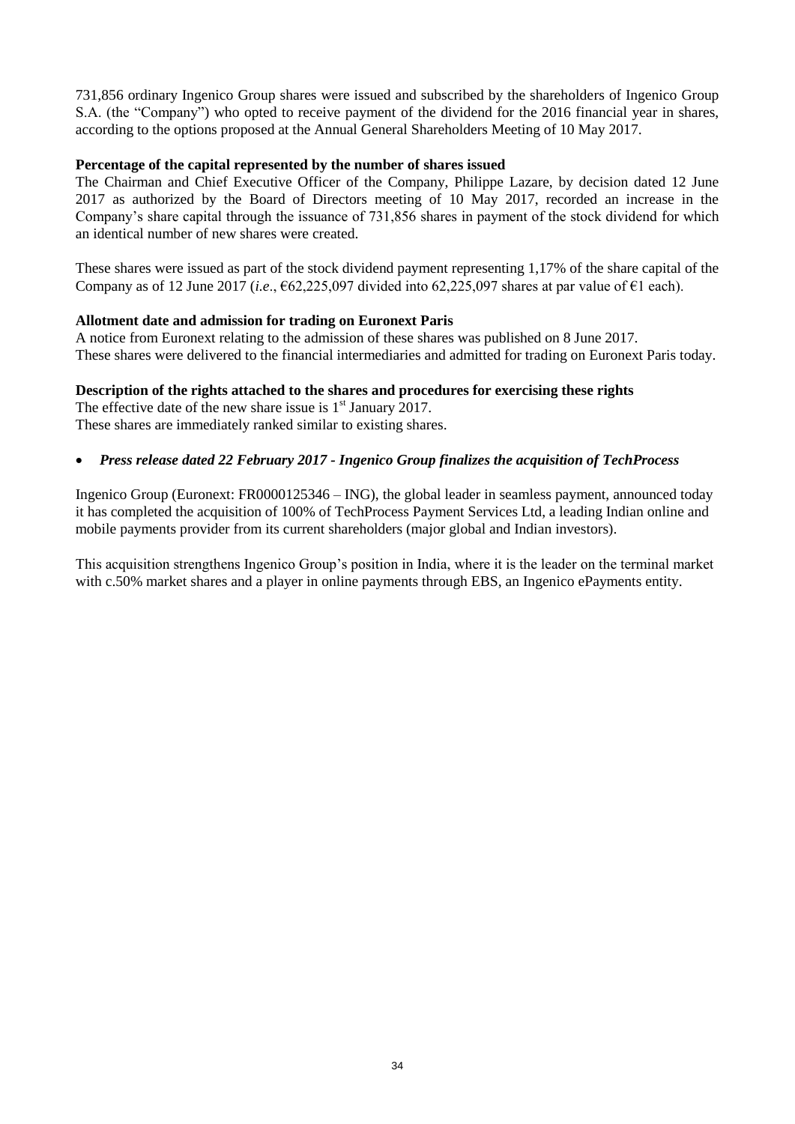731,856 ordinary Ingenico Group shares were issued and subscribed by the shareholders of Ingenico Group S.A. (the "Company") who opted to receive payment of the dividend for the 2016 financial year in shares, according to the options proposed at the Annual General Shareholders Meeting of 10 May 2017.

# **Percentage of the capital represented by the number of shares issued**

The Chairman and Chief Executive Officer of the Company, Philippe Lazare, by decision dated 12 June 2017 as authorized by the Board of Directors meeting of 10 May 2017, recorded an increase in the Company's share capital through the issuance of 731,856 shares in payment of the stock dividend for which an identical number of new shares were created.

These shares were issued as part of the stock dividend payment representing 1,17% of the share capital of the Company as of 12 June 2017 (*i.e.*,  $\epsilon$ 62,225,097 divided into 62,225,097 shares at par value of  $\epsilon$ 1 each).

# **Allotment date and admission for trading on Euronext Paris**

A notice from Euronext relating to the admission of these shares was published on 8 June 2017. These shares were delivered to the financial intermediaries and admitted for trading on Euronext Paris today.

# **Description of the rights attached to the shares and procedures for exercising these rights**

The effective date of the new share issue is  $1<sup>st</sup>$  January 2017. These shares are immediately ranked similar to existing shares.

# *Press release dated 22 February 2017 - Ingenico Group finalizes the acquisition of TechProcess*

Ingenico Group (Euronext: FR0000125346 – ING), the global leader in seamless payment, announced today it has completed the acquisition of 100% of TechProcess Payment Services Ltd, a leading Indian online and mobile payments provider from its current shareholders (major global and Indian investors).

This acquisition strengthens Ingenico Group's position in India, where it is the leader on the terminal market with c.50% market shares and a player in online payments through EBS, an Ingenico ePayments entity.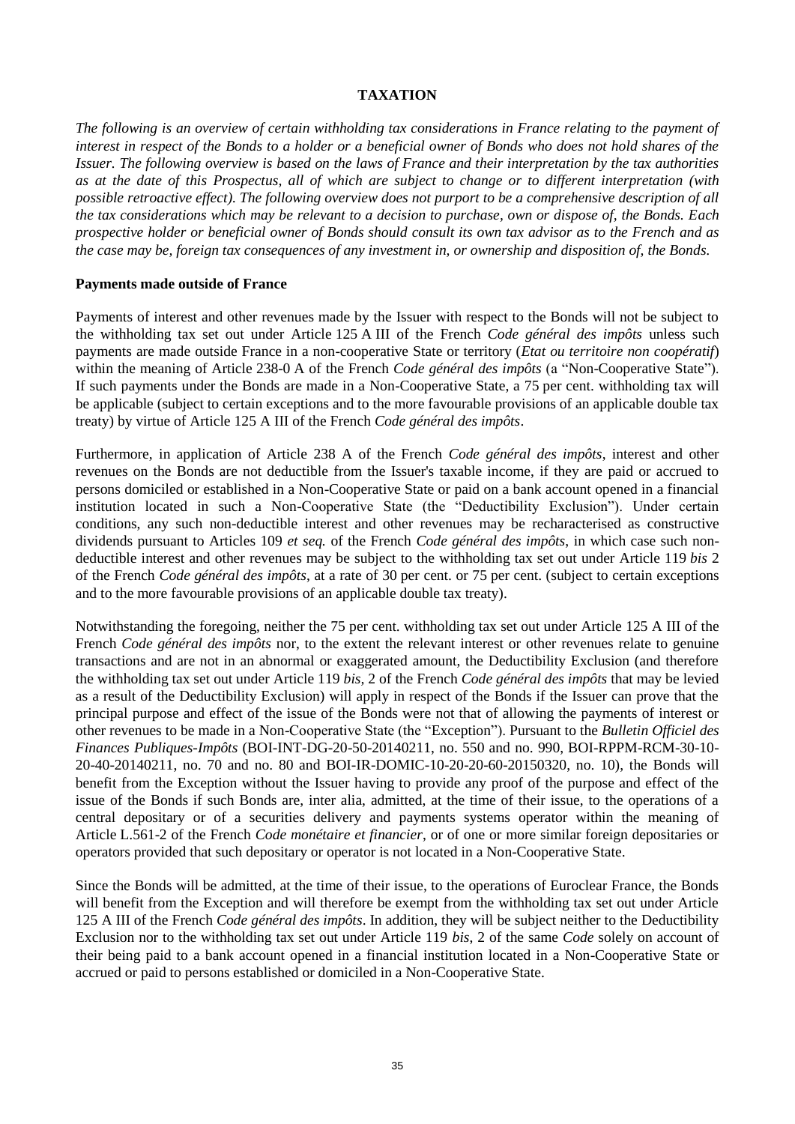# **TAXATION**

*The following is an overview of certain withholding tax considerations in France relating to the payment of interest in respect of the Bonds to a holder or a beneficial owner of Bonds who does not hold shares of the Issuer. The following overview is based on the laws of France and their interpretation by the tax authorities as at the date of this Prospectus, all of which are subject to change or to different interpretation (with possible retroactive effect). The following overview does not purport to be a comprehensive description of all the tax considerations which may be relevant to a decision to purchase, own or dispose of, the Bonds. Each prospective holder or beneficial owner of Bonds should consult its own tax advisor as to the French and as the case may be, foreign tax consequences of any investment in, or ownership and disposition of, the Bonds.* 

# **Payments made outside of France**

Payments of interest and other revenues made by the Issuer with respect to the Bonds will not be subject to the withholding tax set out under Article 125 A III of the French *Code général des impôts* unless such payments are made outside France in a non-cooperative State or territory (*Etat ou territoire non coopératif*) within the meaning of Article 238-0 A of the French *Code général des impôts* (a "Non-Cooperative State"). If such payments under the Bonds are made in a Non-Cooperative State, a 75 per cent. withholding tax will be applicable (subject to certain exceptions and to the more favourable provisions of an applicable double tax treaty) by virtue of Article 125 A III of the French *Code général des impôts*.

Furthermore, in application of Article 238 A of the French *Code général des impôts*, interest and other revenues on the Bonds are not deductible from the Issuer's taxable income, if they are paid or accrued to persons domiciled or established in a Non-Cooperative State or paid on a bank account opened in a financial institution located in such a Non-Cooperative State (the "Deductibility Exclusion"). Under certain conditions, any such non-deductible interest and other revenues may be recharacterised as constructive dividends pursuant to Articles 109 *et seq.* of the French *Code général des impôts*, in which case such nondeductible interest and other revenues may be subject to the withholding tax set out under Article 119 *bis* 2 of the French *Code général des impôts*, at a rate of 30 per cent. or 75 per cent. (subject to certain exceptions and to the more favourable provisions of an applicable double tax treaty).

Notwithstanding the foregoing, neither the 75 per cent. withholding tax set out under Article 125 A III of the French *Code général des impôts* nor, to the extent the relevant interest or other revenues relate to genuine transactions and are not in an abnormal or exaggerated amount, the Deductibility Exclusion (and therefore the withholding tax set out under Article 119 *bis,* 2 of the French *Code général des impôts* that may be levied as a result of the Deductibility Exclusion) will apply in respect of the Bonds if the Issuer can prove that the principal purpose and effect of the issue of the Bonds were not that of allowing the payments of interest or other revenues to be made in a Non-Cooperative State (the "Exception"). Pursuant to the *Bulletin Officiel des Finances Publiques-Impôts* (BOI-INT-DG-20-50-20140211, no. 550 and no. 990, BOI-RPPM-RCM-30-10- 20-40-20140211, no. 70 and no. 80 and BOI-IR-DOMIC-10-20-20-60-20150320, no. 10), the Bonds will benefit from the Exception without the Issuer having to provide any proof of the purpose and effect of the issue of the Bonds if such Bonds are, inter alia, admitted, at the time of their issue, to the operations of a central depositary or of a securities delivery and payments systems operator within the meaning of Article L.561-2 of the French *Code monétaire et financier*, or of one or more similar foreign depositaries or operators provided that such depositary or operator is not located in a Non-Cooperative State.

Since the Bonds will be admitted, at the time of their issue, to the operations of Euroclear France, the Bonds will benefit from the Exception and will therefore be exempt from the withholding tax set out under Article 125 A III of the French *Code général des impôts*. In addition, they will be subject neither to the Deductibility Exclusion nor to the withholding tax set out under Article 119 *bis*, 2 of the same *Code* solely on account of their being paid to a bank account opened in a financial institution located in a Non-Cooperative State or accrued or paid to persons established or domiciled in a Non-Cooperative State.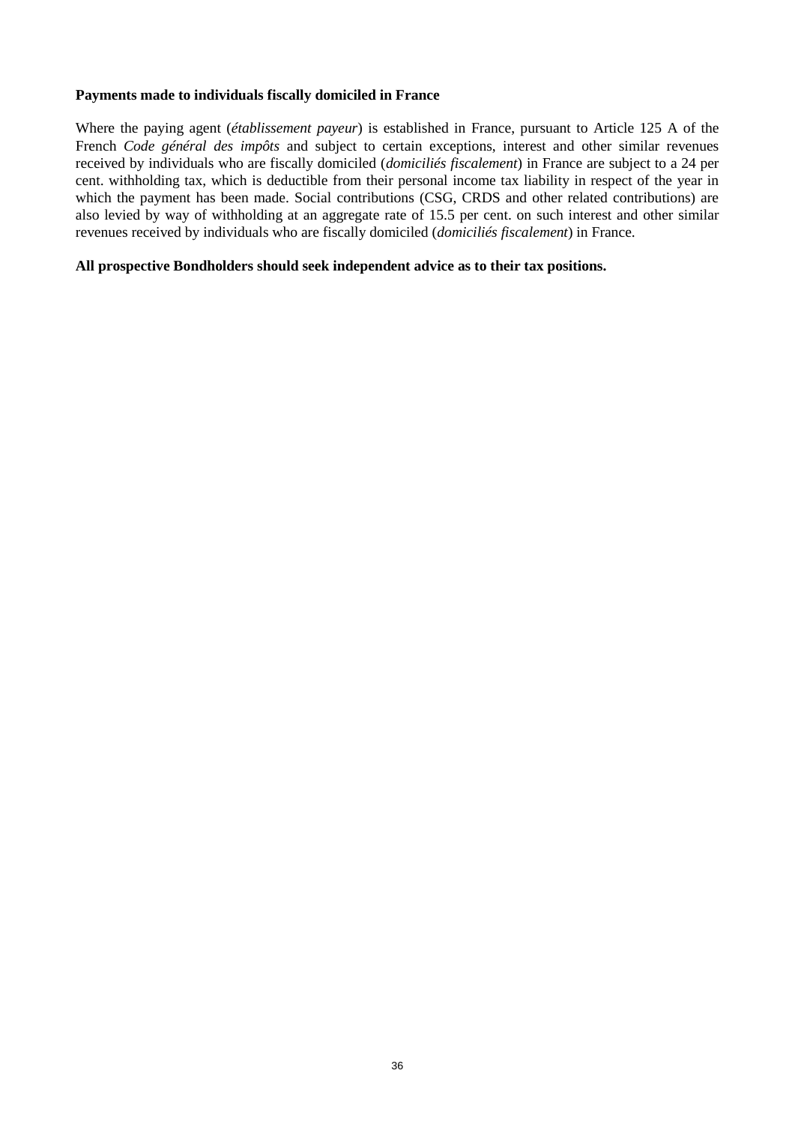# **Payments made to individuals fiscally domiciled in France**

Where the paying agent (*établissement payeur*) is established in France, pursuant to Article 125 A of the French *Code général des impôts* and subject to certain exceptions, interest and other similar revenues received by individuals who are fiscally domiciled (*domiciliés fiscalement*) in France are subject to a 24 per cent. withholding tax, which is deductible from their personal income tax liability in respect of the year in which the payment has been made. Social contributions (CSG, CRDS and other related contributions) are also levied by way of withholding at an aggregate rate of 15.5 per cent. on such interest and other similar revenues received by individuals who are fiscally domiciled (*domiciliés fiscalement*) in France.

#### **All prospective Bondholders should seek independent advice as to their tax positions.**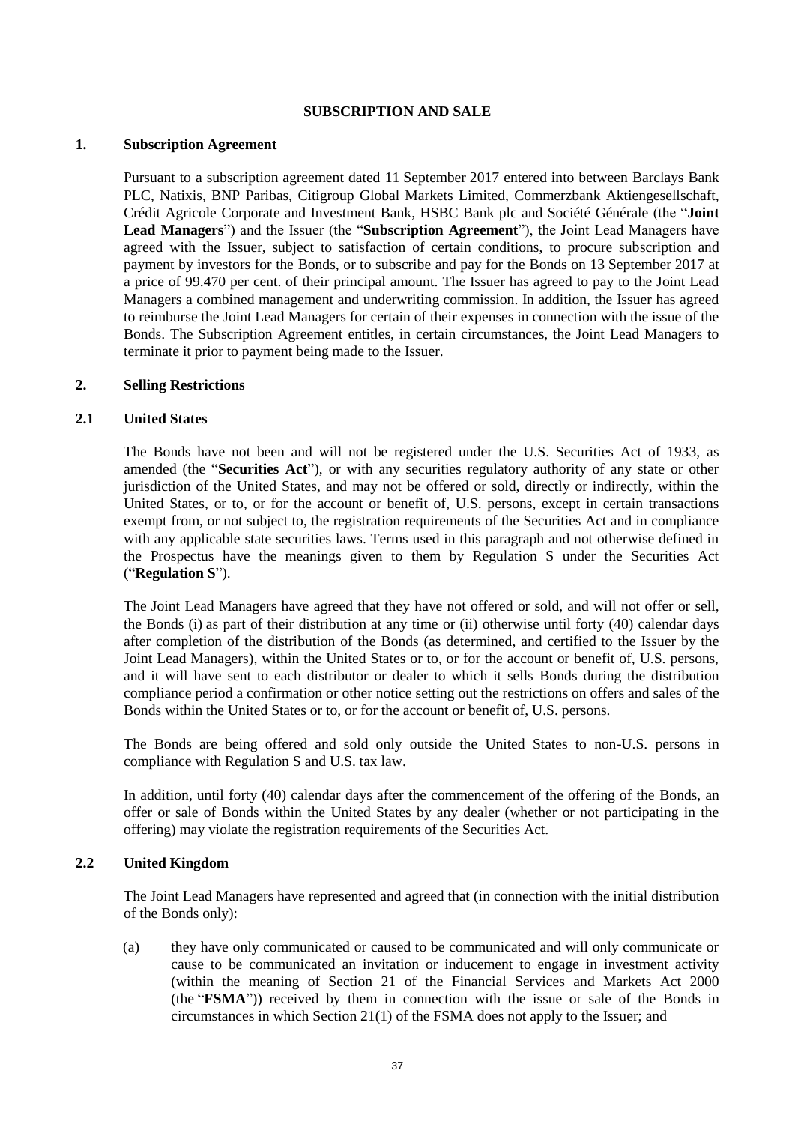#### **SUBSCRIPTION AND SALE**

#### **1. Subscription Agreement**

Pursuant to a subscription agreement dated 11 September 2017 entered into between Barclays Bank PLC, Natixis, BNP Paribas, Citigroup Global Markets Limited, Commerzbank Aktiengesellschaft, Crédit Agricole Corporate and Investment Bank, HSBC Bank plc and Société Générale (the "**Joint Lead Managers**") and the Issuer (the "**Subscription Agreement**"), the Joint Lead Managers have agreed with the Issuer, subject to satisfaction of certain conditions, to procure subscription and payment by investors for the Bonds, or to subscribe and pay for the Bonds on 13 September 2017 at a price of 99.470 per cent. of their principal amount. The Issuer has agreed to pay to the Joint Lead Managers a combined management and underwriting commission. In addition, the Issuer has agreed to reimburse the Joint Lead Managers for certain of their expenses in connection with the issue of the Bonds. The Subscription Agreement entitles, in certain circumstances, the Joint Lead Managers to terminate it prior to payment being made to the Issuer.

#### **2. Selling Restrictions**

# **2.1 United States**

The Bonds have not been and will not be registered under the U.S. Securities Act of 1933, as amended (the "**Securities Act**"), or with any securities regulatory authority of any state or other jurisdiction of the United States, and may not be offered or sold, directly or indirectly, within the United States, or to, or for the account or benefit of, U.S. persons, except in certain transactions exempt from, or not subject to, the registration requirements of the Securities Act and in compliance with any applicable state securities laws. Terms used in this paragraph and not otherwise defined in the Prospectus have the meanings given to them by Regulation S under the Securities Act ("**Regulation S**").

The Joint Lead Managers have agreed that they have not offered or sold, and will not offer or sell, the Bonds (i) as part of their distribution at any time or (ii) otherwise until forty (40) calendar days after completion of the distribution of the Bonds (as determined, and certified to the Issuer by the Joint Lead Managers), within the United States or to, or for the account or benefit of, U.S. persons, and it will have sent to each distributor or dealer to which it sells Bonds during the distribution compliance period a confirmation or other notice setting out the restrictions on offers and sales of the Bonds within the United States or to, or for the account or benefit of, U.S. persons.

The Bonds are being offered and sold only outside the United States to non-U.S. persons in compliance with Regulation S and U.S. tax law.

In addition, until forty (40) calendar days after the commencement of the offering of the Bonds, an offer or sale of Bonds within the United States by any dealer (whether or not participating in the offering) may violate the registration requirements of the Securities Act.

# **2.2 United Kingdom**

The Joint Lead Managers have represented and agreed that (in connection with the initial distribution of the Bonds only):

(a) they have only communicated or caused to be communicated and will only communicate or cause to be communicated an invitation or inducement to engage in investment activity (within the meaning of Section 21 of the Financial Services and Markets Act 2000 (the "**FSMA**")) received by them in connection with the issue or sale of the Bonds in circumstances in which Section 21(1) of the FSMA does not apply to the Issuer; and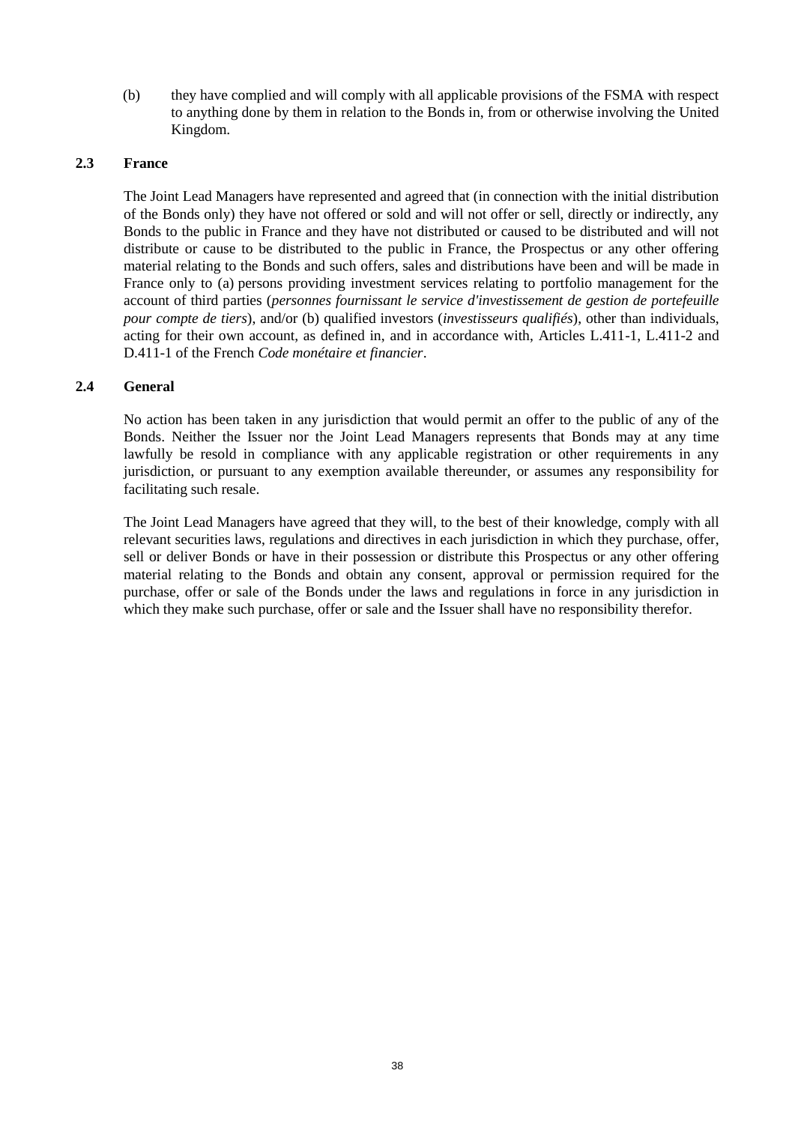(b) they have complied and will comply with all applicable provisions of the FSMA with respect to anything done by them in relation to the Bonds in, from or otherwise involving the United Kingdom.

# **2.3 France**

The Joint Lead Managers have represented and agreed that (in connection with the initial distribution of the Bonds only) they have not offered or sold and will not offer or sell, directly or indirectly, any Bonds to the public in France and they have not distributed or caused to be distributed and will not distribute or cause to be distributed to the public in France, the Prospectus or any other offering material relating to the Bonds and such offers, sales and distributions have been and will be made in France only to (a) persons providing investment services relating to portfolio management for the account of third parties (*personnes fournissant le service d'investissement de gestion de portefeuille pour compte de tiers*), and/or (b) qualified investors (*investisseurs qualifiés*), other than individuals, acting for their own account, as defined in, and in accordance with, Articles L.411-1, L.411-2 and D.411-1 of the French *Code monétaire et financier*.

# **2.4 General**

No action has been taken in any jurisdiction that would permit an offer to the public of any of the Bonds. Neither the Issuer nor the Joint Lead Managers represents that Bonds may at any time lawfully be resold in compliance with any applicable registration or other requirements in any jurisdiction, or pursuant to any exemption available thereunder, or assumes any responsibility for facilitating such resale.

The Joint Lead Managers have agreed that they will, to the best of their knowledge, comply with all relevant securities laws, regulations and directives in each jurisdiction in which they purchase, offer, sell or deliver Bonds or have in their possession or distribute this Prospectus or any other offering material relating to the Bonds and obtain any consent, approval or permission required for the purchase, offer or sale of the Bonds under the laws and regulations in force in any jurisdiction in which they make such purchase, offer or sale and the Issuer shall have no responsibility therefor.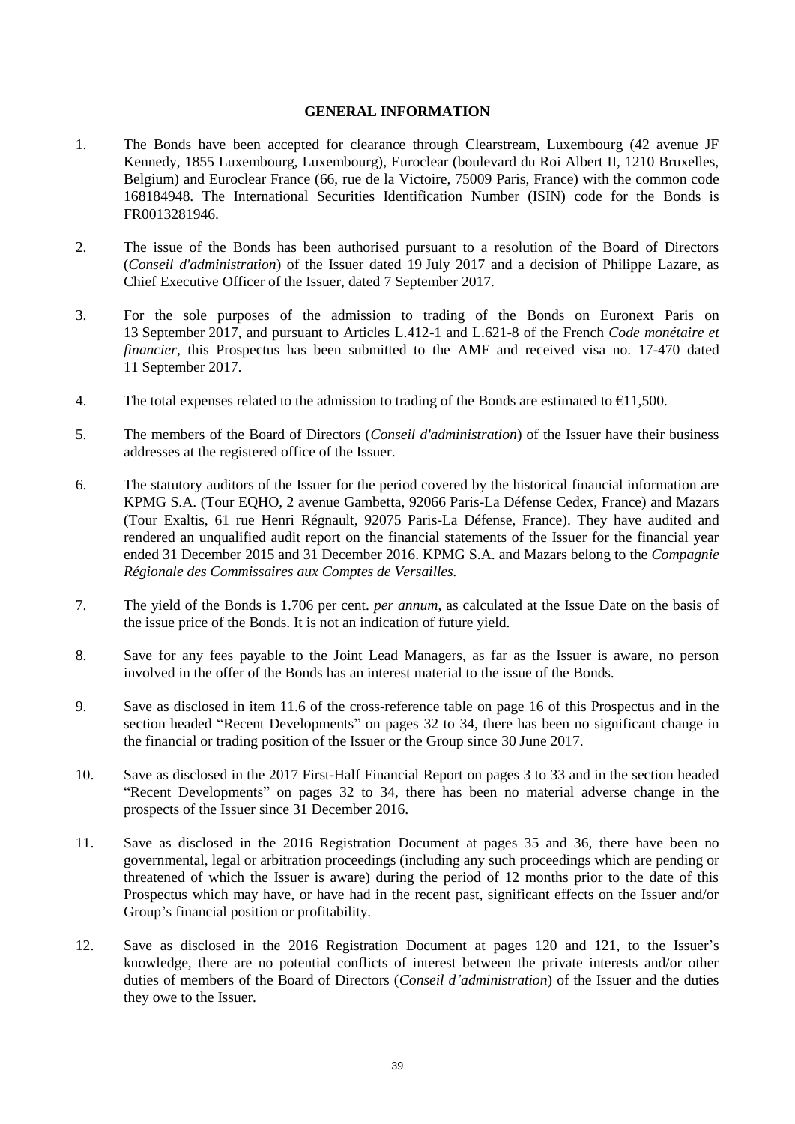#### **GENERAL INFORMATION**

- 1. The Bonds have been accepted for clearance through Clearstream, Luxembourg (42 avenue JF Kennedy, 1855 Luxembourg, Luxembourg), Euroclear (boulevard du Roi Albert II, 1210 Bruxelles, Belgium) and Euroclear France (66, rue de la Victoire, 75009 Paris, France) with the common code 168184948. The International Securities Identification Number (ISIN) code for the Bonds is FR0013281946.
- 2. The issue of the Bonds has been authorised pursuant to a resolution of the Board of Directors (*Conseil d'administration*) of the Issuer dated 19 July 2017 and a decision of Philippe Lazare, as Chief Executive Officer of the Issuer, dated 7 September 2017.
- 3. For the sole purposes of the admission to trading of the Bonds on Euronext Paris on 13 September 2017, and pursuant to Articles L.412-1 and L.621-8 of the French *Code monétaire et financier*, this Prospectus has been submitted to the AMF and received visa no. 17-470 dated 11 September 2017.
- 4. The total expenses related to the admission to trading of the Bonds are estimated to  $\epsilon$ 11,500.
- 5. The members of the Board of Directors (*Conseil d'administration*) of the Issuer have their business addresses at the registered office of the Issuer.
- 6. The statutory auditors of the Issuer for the period covered by the historical financial information are KPMG S.A. (Tour EQHO, 2 avenue Gambetta, 92066 Paris-La Défense Cedex, France) and Mazars (Tour Exaltis, 61 rue Henri Régnault, 92075 Paris-La Défense, France). They have audited and rendered an unqualified audit report on the financial statements of the Issuer for the financial year ended 31 December 2015 and 31 December 2016. KPMG S.A. and Mazars belong to the *Compagnie Régionale des Commissaires aux Comptes de Versailles.*
- 7. The yield of the Bonds is 1.706 per cent. *per annum*, as calculated at the Issue Date on the basis of the issue price of the Bonds. It is not an indication of future yield.
- 8. Save for any fees payable to the Joint Lead Managers, as far as the Issuer is aware, no person involved in the offer of the Bonds has an interest material to the issue of the Bonds.
- 9. Save as disclosed in item 11.6 of the cross-reference table on page 16 of this Prospectus and in the section headed "Recent Developments" on pages 32 to 34, there has been no significant change in the financial or trading position of the Issuer or the Group since 30 June 2017.
- 10. Save as disclosed in the 2017 First-Half Financial Report on pages 3 to 33 and in the section headed "Recent Developments" on pages 32 to 34, there has been no material adverse change in the prospects of the Issuer since 31 December 2016.
- 11. Save as disclosed in the 2016 Registration Document at pages 35 and 36, there have been no governmental, legal or arbitration proceedings (including any such proceedings which are pending or threatened of which the Issuer is aware) during the period of 12 months prior to the date of this Prospectus which may have, or have had in the recent past, significant effects on the Issuer and/or Group's financial position or profitability.
- 12. Save as disclosed in the 2016 Registration Document at pages 120 and 121, to the Issuer's knowledge, there are no potential conflicts of interest between the private interests and/or other duties of members of the Board of Directors (*Conseil d'administration*) of the Issuer and the duties they owe to the Issuer.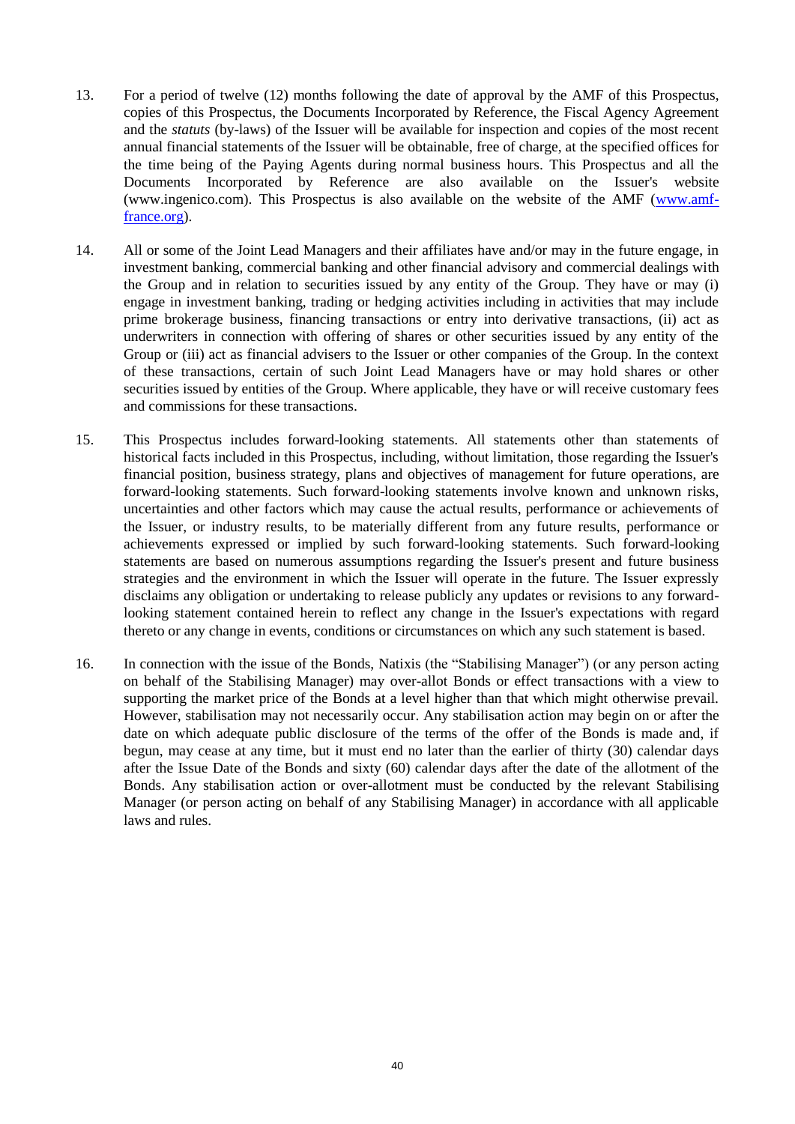- 13. For a period of twelve (12) months following the date of approval by the AMF of this Prospectus, copies of this Prospectus, the Documents Incorporated by Reference, the Fiscal Agency Agreement and the *statuts* (by-laws) of the Issuer will be available for inspection and copies of the most recent annual financial statements of the Issuer will be obtainable, free of charge, at the specified offices for the time being of the Paying Agents during normal business hours. This Prospectus and all the Documents Incorporated by Reference are also available on the Issuer's website (www.ingenico.com). This Prospectus is also available on the website of the AMF [\(www.amf](http://www.amf-france.org/)[france.org\)](http://www.amf-france.org/).
- 14. All or some of the Joint Lead Managers and their affiliates have and/or may in the future engage, in investment banking, commercial banking and other financial advisory and commercial dealings with the Group and in relation to securities issued by any entity of the Group. They have or may (i) engage in investment banking, trading or hedging activities including in activities that may include prime brokerage business, financing transactions or entry into derivative transactions, (ii) act as underwriters in connection with offering of shares or other securities issued by any entity of the Group or (iii) act as financial advisers to the Issuer or other companies of the Group. In the context of these transactions, certain of such Joint Lead Managers have or may hold shares or other securities issued by entities of the Group. Where applicable, they have or will receive customary fees and commissions for these transactions.
- 15. This Prospectus includes forward-looking statements. All statements other than statements of historical facts included in this Prospectus, including, without limitation, those regarding the Issuer's financial position, business strategy, plans and objectives of management for future operations, are forward-looking statements. Such forward-looking statements involve known and unknown risks, uncertainties and other factors which may cause the actual results, performance or achievements of the Issuer, or industry results, to be materially different from any future results, performance or achievements expressed or implied by such forward-looking statements. Such forward-looking statements are based on numerous assumptions regarding the Issuer's present and future business strategies and the environment in which the Issuer will operate in the future. The Issuer expressly disclaims any obligation or undertaking to release publicly any updates or revisions to any forwardlooking statement contained herein to reflect any change in the Issuer's expectations with regard thereto or any change in events, conditions or circumstances on which any such statement is based.
- 16. In connection with the issue of the Bonds, Natixis (the "Stabilising Manager") (or any person acting on behalf of the Stabilising Manager) may over-allot Bonds or effect transactions with a view to supporting the market price of the Bonds at a level higher than that which might otherwise prevail. However, stabilisation may not necessarily occur. Any stabilisation action may begin on or after the date on which adequate public disclosure of the terms of the offer of the Bonds is made and, if begun, may cease at any time, but it must end no later than the earlier of thirty (30) calendar days after the Issue Date of the Bonds and sixty (60) calendar days after the date of the allotment of the Bonds. Any stabilisation action or over-allotment must be conducted by the relevant Stabilising Manager (or person acting on behalf of any Stabilising Manager) in accordance with all applicable laws and rules.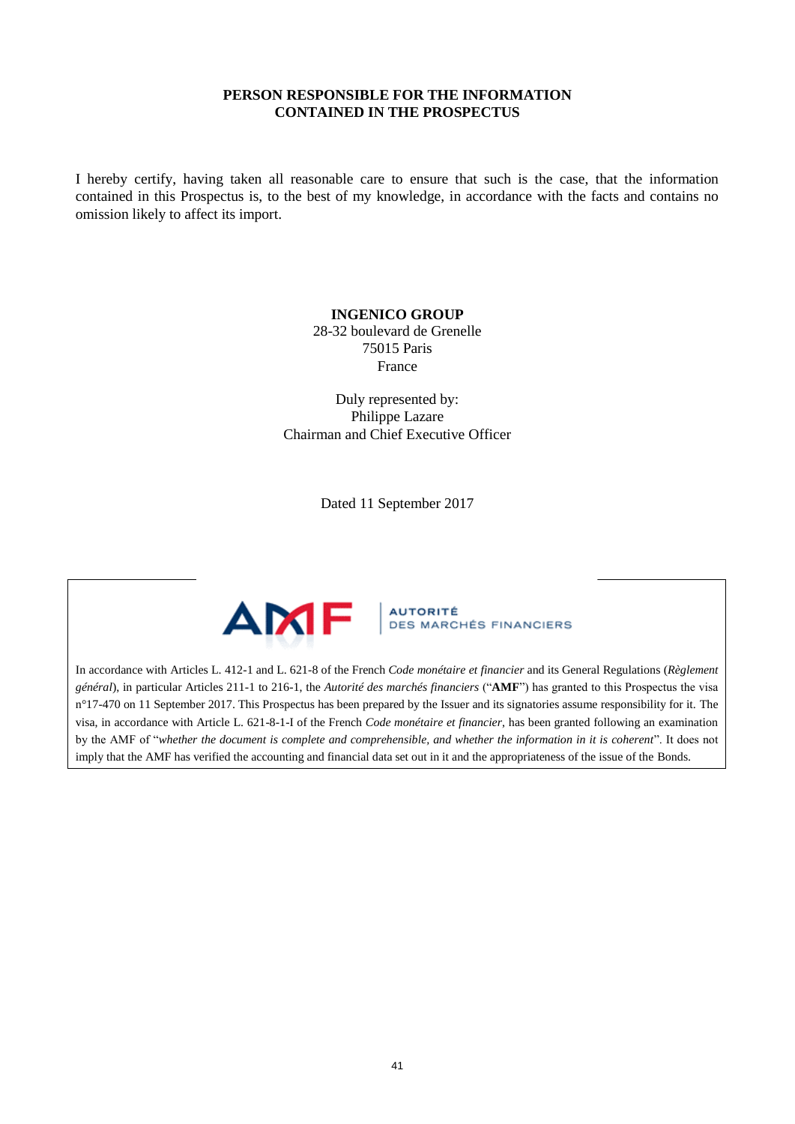# **PERSON RESPONSIBLE FOR THE INFORMATION CONTAINED IN THE PROSPECTUS**

I hereby certify, having taken all reasonable care to ensure that such is the case, that the information contained in this Prospectus is, to the best of my knowledge, in accordance with the facts and contains no omission likely to affect its import.

# **INGENICO GROUP**

28-32 boulevard de Grenelle 75015 Paris France

Duly represented by: Philippe Lazare Chairman and Chief Executive Officer

Dated 11 September 2017



**AUTORITÉ DES MARCHÉS FINANCIERS** 

In accordance with Articles L. 412-1 and L. 621-8 of the French *Code monétaire et financier* and its General Regulations (*Règlement général*), in particular Articles 211-1 to 216-1, the *Autorité des marchés financiers* ("**AMF**") has granted to this Prospectus the visa n°17-470 on 11 September 2017. This Prospectus has been prepared by the Issuer and its signatories assume responsibility for it. The visa, in accordance with Article L. 621-8-1-I of the French *Code monétaire et financier*, has been granted following an examination by the AMF of "*whether the document is complete and comprehensible, and whether the information in it is coherent*". It does not imply that the AMF has verified the accounting and financial data set out in it and the appropriateness of the issue of the Bonds.